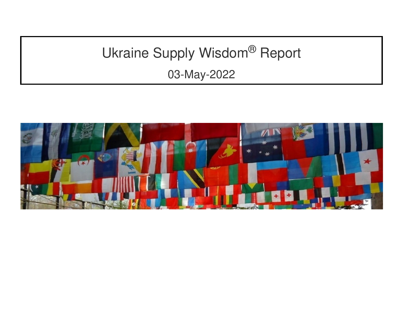# Ukraine Supply Wisdom® Report

03-May-2022

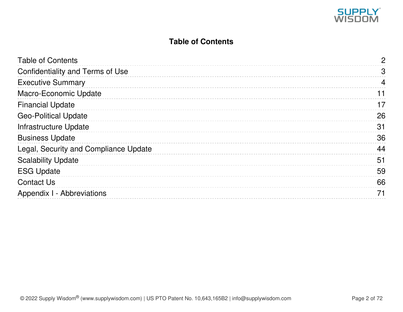

### **Table of Contents**

<span id="page-1-0"></span>

| <b>Table of Contents</b>              | 2              |
|---------------------------------------|----------------|
| Confidentiality and Terms of Use      | 3              |
| <b>Executive Summary</b>              | $\overline{4}$ |
| Macro-Economic Update                 | 11             |
| <b>Financial Update</b>               | 17             |
| <b>Geo-Political Update</b>           | 26             |
| Infrastructure Update                 | 31             |
| <b>Business Update</b>                | 36             |
| Legal, Security and Compliance Update | 44             |
| <b>Scalability Update</b>             | 51             |
| <b>ESG Update</b>                     | 59             |
| <b>Contact Us</b>                     | 66             |
| Appendix I - Abbreviations            | 71             |
|                                       |                |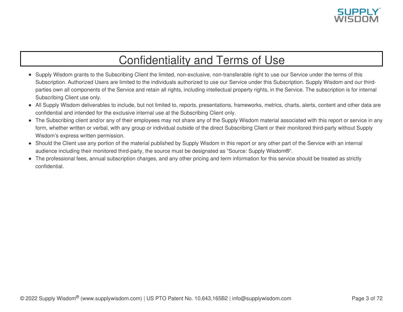

## Confidentiality and Terms of Use

- <span id="page-2-0"></span>• Supply Wisdom grants to the Subscribing Client the limited, non-exclusive, non-transferable right to use our Service under the terms of this Subscription. Authorized Users are limited to the individuals authorized to use our Service under this Subscription. Supply Wisdom and our thirdparties own all components of the Service and retain all rights, including intellectual property rights, in the Service. The subscription is for internal Subscribing Client use only.
- All Supply Wisdom deliverables to include, but not limited to, reports, presentations, frameworks, metrics, charts, alerts, content and other data are confidential and intended for the exclusive internal use at the Subscribing Client only.
- The Subscribing client and/or any of their employees may not share any of the Supply Wisdom material associated with this report or service in any form, whether written or verbal, with any group or individual outside of the direct Subscribing Client or their monitored third-party without Supply Wisdom's express written permission.
- Should the Client use any portion of the material published by Supply Wisdom in this report or any other part of the Service with an internal audience including their monitored third-party, the source must be designated as "Source: Supply Wisdom®".
- The professional fees, annual subscription charges, and any other pricing and term information for this service should be treated as strictly confidential.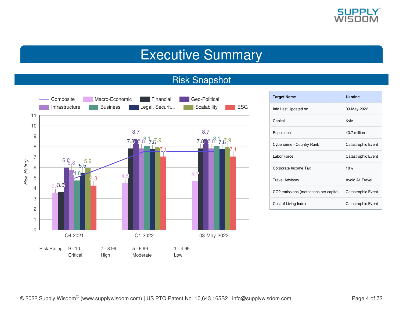

## Executive Summary

### Risk Snapshot

<span id="page-3-0"></span>

| <b>Target Name</b>                     | <b>Ukraine</b>     |
|----------------------------------------|--------------------|
| Info Last Updated on                   | 03-May-2022        |
| Capital                                | Kyiv               |
| Population                             | 43.7 million       |
| Cybercrime - Country Rank              | Catastrophic Event |
| Labor Force                            | Catastrophic Event |
| Corporate Income Tax                   | 18%                |
| <b>Travel Advisory</b>                 | Avoid All Travel   |
| CO2 emissions (metric tons per capita) | Catastrophic Event |
| Cost of Living Index                   | Catastrophic Event |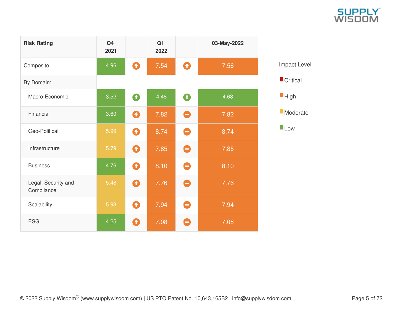|        | SUPPLY |  |
|--------|--------|--|
| WISDOM |        |  |

| <b>Risk Rating</b>                | Q <sub>4</sub><br>2021 |                  | Q <sub>1</sub><br>2022 |                  | 03-May-2022 |
|-----------------------------------|------------------------|------------------|------------------------|------------------|-------------|
| Composite                         | 4.96                   | $\mathbf \Omega$ | 7.54                   | $\mathbf Q$      | 7.56        |
| By Domain:                        |                        |                  |                        |                  |             |
| Macro-Economic                    | 3.52                   | $\bullet$        | 4.48                   | $\mathbf \Omega$ | 4.68        |
| Financial                         | 3.60                   | 0                | 7.82                   | Θ                | 7.82        |
| Geo-Political                     | 5.99                   | Q                | 8.74                   | 0                | 8.74        |
| Infrastructure                    | 5.79                   | $\mathbf \Omega$ | 7.85                   | Θ                | 7.85        |
| <b>Business</b>                   | 4.76                   | $\mathbf \Omega$ | 8.10                   | 0                | 8.10        |
| Legal, Security and<br>Compliance | 5.48                   | Q                | 7.76                   | 0                | 7.76        |
| Scalability                       | 5.93                   | $\mathbf \Omega$ | 7.94                   | 0                | 7.94        |
| <b>ESG</b>                        | 4.25                   | Q                | 7.08                   | Ξ                | 7.08        |

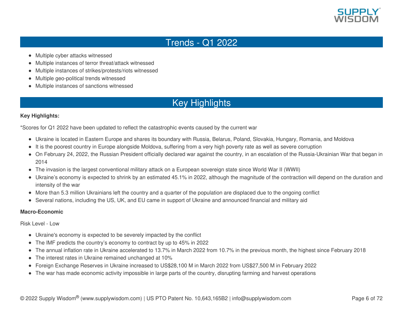

### Trends - Q1 2022

- Multiple cyber attacks witnessed
- Multiple instances of terror threat/attack witnessed
- Multiple instances of strikes/protests/riots witnessed
- Multiple geo-political trends witnessed  $\bullet$
- Multiple instances of sanctions witnessed

### Key Highlights

### **Key Highlights:**

\*Scores for Q1 2022 have been updated to reflect the catastrophic events caused by the current war

- Ukraine is located in Eastern Europe and shares its boundary with Russia, Belarus, Poland, Slovakia, Hungary, Romania, and Moldova
- It is the poorest country in Europe alongside Moldova, suffering from a very high poverty rate as well as severe corruption
- On February 24, 2022, the Russian President officially declared war against the country, in an escalation of the Russia-Ukrainian War that began in 2014
- The invasion is the largest conventional military attack on a European sovereign state since World War II (WWII)
- Ukraine's economy is expected to shrink by an estimated 45.1% in 2022, although the magnitude of the contraction will depend on the duration and intensity of the war
- More than 5.3 million Ukrainians left the country and a quarter of the population are displaced due to the ongoing conflict
- Several nations, including the US, UK, and EU came in support of Ukraine and announced financial and military aid

### **Macro-Economic**

Risk Level - Low

- Ukraine's economy is expected to be severely impacted by the conflict
- The IMF predicts the country's economy to contract by up to 45% in 2022
- The annual inflation rate in Ukraine accelerated to 13.7% in March 2022 from 10.7% in the previous month, the highest since February 2018
- The interest rates in Ukraine remained unchanged at 10%
- Foreign Exchange Reserves in Ukraine increased to US\$28,100 M in March 2022 from US\$27,500 M in February 2022
- The war has made economic activity impossible in large parts of the country, disrupting farming and harvest operations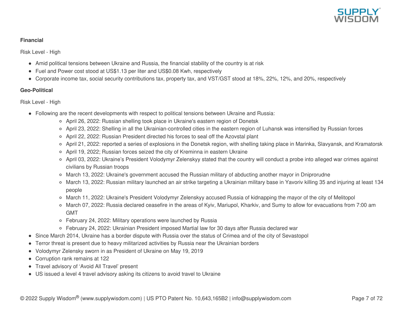

### **Financial**

Risk Level - High

- Amid political tensions between Ukraine and Russia, the financial stability of the country is at risk
- Fuel and Power cost stood at US\$1.13 per liter and US\$0.08 Kwh, respectively
- Corporate income tax, social security contributions tax, property tax, and VST/GST stood at 18%, 22%, 12%, and 20%, respectively

### **Geo-Political**

Risk Level - High

- Following are the recent developments with respect to political tensions between Ukraine and Russia:
	- April 26, 2022: Russian shelling took place in Ukraine's eastern region of Donetsk
	- April 23, 2022: Shelling in all the Ukrainian-controlled cities in the eastern region of Luhansk was intensified by Russian forces
	- April 22, 2022: Russian President directed his forces to seal off the Azovstal plant
	- April 21, 2022: reported a series of explosions in the Donetsk region, with shelling taking place in Marinka, Slavyansk, and Kramatorsk
	- April 19, 2022; Russian forces seized the city of Kreminna in eastern Ukraine
	- o April 03, 2022: Ukraine's President Volodymyr Zelenskyy stated that the country will conduct a probe into alleged war crimes against civilians by Russian troops
	- March 13, 2022: Ukraine's government accused the Russian military of abducting another mayor in Dniprorudne
	- March 13, 2022: Russian military launched an air strike targeting a Ukrainian military base in Yavoriv killing 35 and injuring at least 134 people
	- March 11, 2022: Ukraine's President Volodymyr Zelenskyy accused Russia of kidnapping the mayor of the city of Melitopol
	- March 07, 2022: Russia declared ceasefire in the areas of Kyiv, Mariupol, Kharkiv, and Sumy to allow for evacuations from 7:00 am GMT
	- February 24, 2022: Military operations were launched by Russia
	- February 24, 2022: Ukrainian President imposed Martial law for 30 days after Russia declared war
- Since March 2014, Ukraine has a border dispute with Russia over the status of Crimea and of the city of Sevastopol
- Terror threat is present due to heavy militarized activities by Russia near the Ukrainian borders
- Volodymyr Zelensky sworn in as President of Ukraine on May 19, 2019
- Corruption rank remains at 122
- Travel advisory of 'Avoid All Travel' present
- US issued a level 4 travel advisory asking its citizens to avoid travel to Ukraine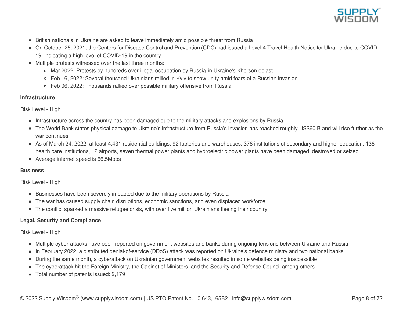

- British nationals in Ukraine are asked to leave immediately amid possible threat from Russia
- On October 25, 2021, the Centers for Disease Control and Prevention (CDC) had issued a Level 4 Travel Health Notice for Ukraine due to COVID-19, indicating a high level of COVID-19 in the country
- Multiple protests witnessed over the last three months:
	- Mar 2022: Protests by hundreds over illegal occupation by Russia in Ukraine's Kherson oblast
	- Feb 16, 2022: Several thousand Ukrainians rallied in Kyiv to show unity amid fears of a Russian invasion
	- Feb 06, 2022: Thousands rallied over possible military offensive from Russia

### **Infrastructure**

Risk Level - High

- Infrastructure across the country has been damaged due to the military attacks and explosions by Russia
- The World Bank states physical damage to Ukraine's infrastructure from Russia's invasion has reached roughly US\$60 B and will rise further as the war continues
- As of March 24, 2022, at least 4,431 residential buildings, 92 factories and warehouses, 378 institutions of secondary and higher education, 138 health care institutions, 12 airports, seven thermal power plants and hydroelectric power plants have been damaged, destroyed or seized
- Average internet speed is 66.5Mbps

### **Business**

Risk Level - High

- Businesses have been severely impacted due to the military operations by Russia
- The war has caused supply chain disruptions, economic sanctions, and even displaced workforce
- The conflict sparked a massive refugee crisis, with over five million Ukrainians fleeing their country

### **Legal, Security and Compliance**

Risk Level - High

- Multiple cyber-attacks have been reported on government websites and banks during ongoing tensions between Ukraine and Russia
- In February 2022, a distributed denial-of-service (DDoS) attack was reported on Ukraine's defence ministry and two national banks
- During the same month, a cyberattack on Ukrainian government websites resulted in some websites being inaccessible
- The cyberattack hit the Foreign Ministry, the Cabinet of Ministers, and the Security and Defense Council among others
- Total number of patents issued: 2,179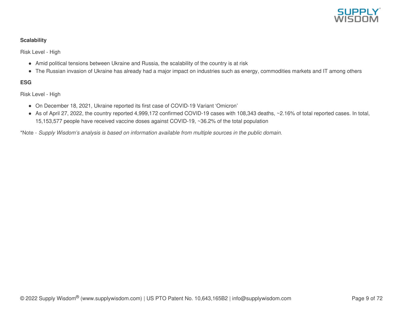

### **Scalability**

Risk Level - High

- Amid political tensions between Ukraine and Russia, the scalability of the country is at risk
- The Russian invasion of Ukraine has already had a major impact on industries such as energy, commodities markets and IT among others

### **ESG**

Risk Level - High

- On December 18, 2021, Ukraine reported its first case of COVID-19 Variant 'Omicron'
- As of April 27, 2022, the country reported 4,999,172 confirmed COVID-19 cases with 108,343 deaths, ~2.16% of total reported cases. In total, 15,153,577 people have received vaccine doses against COVID-19, ~36.2% of the total population

\*Note - *Supply Wisdom's analysis is based on information available from multiple sources in the public domain.*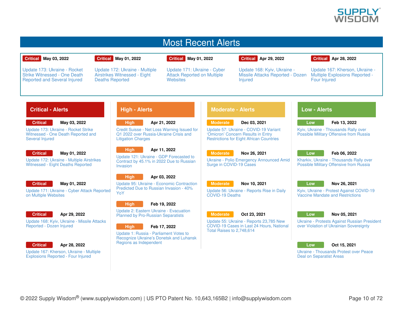

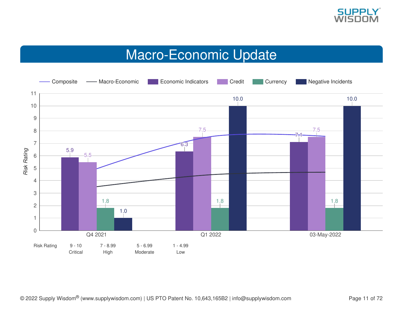

## Macro-Economic Update

<span id="page-10-0"></span>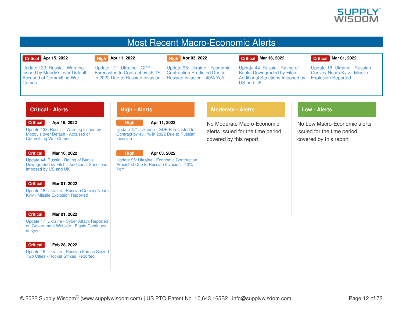

### Most Recent Macro-Economic Alerts

### **Critical Apr 15, 2022**

### **High Apr 11, 2022**

**High Apr 03, 2022**

### **Critical Mar 16, 2022**

### **Critical Mar 01, 2022**

Update 133: Russia - Warning Issued by Moody's over Default - Accused of [Committing](https://app.supplywisdom.com/alertProfile?alertId=66181) War **Crimes** 

Update 121: Ukraine - GDP [Forecasted](https://app.supplywisdom.com/alertProfile?alertId=65965) to Contract by 45.1% in 2022 Due to Russian Invasion

Update 95: Ukraine - Economic [Contraction](https://app.supplywisdom.com/alertProfile?alertId=65586) Predicted Due to Russian Invasion - 40% YoY

Update 44: Russia - Rating of Banks [Downgraded](https://app.supplywisdom.com/alertProfile?alertId=64841) by Fitch - Additional Sanctions Imposed by US and UK

Update 18: Ukraine - Russian Convoy Nears Kyiv - Missile [Explosion](https://app.supplywisdom.com/alertProfile?alertId=64101) Reported

### **Critical - Alerts**

**Critical Apr 15, 2022**

Update 133: Russia - Warning Issued by Moody's over Default - Accused of [Committing](https://app.supplywisdom.com/alertProfile?alertId=66181) War Crimes

### **Critical**

#### **Mar 16, 2022**

Update 44: Russia - Rating of Banks [Downgraded](https://app.supplywisdom.com/alertProfile?alertId=64841) by Fitch - Additional Sanctions Imposed by US and UK

#### **Critical Mar 01, 2022**

Update 18: Ukraine - Russian Convoy Nears Kyiv - Missile [Explosion](https://app.supplywisdom.com/alertProfile?alertId=64101) Reported



### **Mar 01, 2022**

Update 17: Ukraine - Cyber Attack Reported on [Government](https://app.supplywisdom.com/alertProfile?alertId=64082) Website - Blasts Continues in Kyiv



### **Feb 28, 2022**

Update 16: Ukraine - Russian Forces Seized Two Cities - Rocket Strikes [Reported](https://app.supplywisdom.com/alertProfile?alertId=64054)

### **High - Alerts**



Contract by 45.1% in 2022 Due to Russian Invasion

> **High Apr 03, 2022**

Update 95: Ukraine - Economic [Contraction](https://app.supplywisdom.com/alertProfile?alertId=65586) Predicted Due to Russian Invasion - 40% YoY

### **Moderate - Alerts**

No Moderate Macro-Economic alerts issued for the time period covered by this report

### **Low - Alerts**

No Low Macro-Economic alerts issued for the time period covered by this report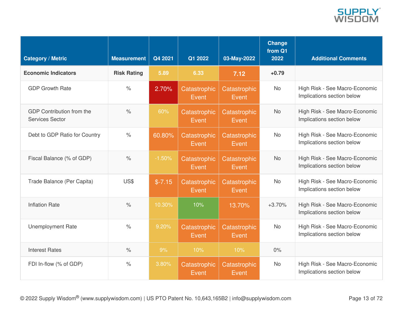

| <b>Category / Metric</b>                     | <b>Measurement</b>   | Q4 2021  | Q1 2022                      | 03-May-2022           | Change<br>from Q1<br>2022 | <b>Additional Comments</b>                                   |
|----------------------------------------------|----------------------|----------|------------------------------|-----------------------|---------------------------|--------------------------------------------------------------|
| <b>Economic Indicators</b>                   | <b>Risk Rating</b>   | 5.89     | 6.33                         | 7.12                  | $+0.79$                   |                                                              |
| <b>GDP Growth Rate</b>                       | $\frac{0}{0}$        | 2.70%    | Catastrophic<br>Event        | Catastrophic<br>Event | <b>No</b>                 | High Risk - See Macro-Economic<br>Implications section below |
| GDP Contribution from the<br>Services Sector | $\frac{0}{0}$        | 60%      | Catastrophic<br><b>Event</b> | Catastrophic<br>Event | <b>No</b>                 | High Risk - See Macro-Economic<br>Implications section below |
| Debt to GDP Ratio for Country                | $\%$                 | 60.80%   | Catastrophic<br>Event        | Catastrophic<br>Event | <b>No</b>                 | High Risk - See Macro-Economic<br>Implications section below |
| Fiscal Balance (% of GDP)                    | $\frac{1}{\sqrt{2}}$ | $-1.50%$ | Catastrophic<br>Event        | Catastrophic<br>Event | <b>No</b>                 | High Risk - See Macro-Economic<br>Implications section below |
| Trade Balance (Per Capita)                   | US\$                 | $$-7.15$ | Catastrophic<br>Event        | Catastrophic<br>Event | <b>No</b>                 | High Risk - See Macro-Economic<br>Implications section below |
| <b>Inflation Rate</b>                        | $\frac{1}{\sqrt{2}}$ | 10.30%   | 10%                          | 13.70%                | $+3.70%$                  | High Risk - See Macro-Economic<br>Implications section below |
| <b>Unemployment Rate</b>                     | $\frac{1}{\sqrt{2}}$ | 9.20%    | Catastrophic<br>Event        | Catastrophic<br>Event | <b>No</b>                 | High Risk - See Macro-Economic<br>Implications section below |
| <b>Interest Rates</b>                        | $\frac{1}{\sqrt{2}}$ | 9%       | 10%                          | 10%                   | $0\%$                     |                                                              |
| FDI In-flow (% of GDP)                       | $\%$                 | 3.80%    | Catastrophic<br>Event        | Catastrophic<br>Event | <b>No</b>                 | High Risk - See Macro-Economic<br>Implications section below |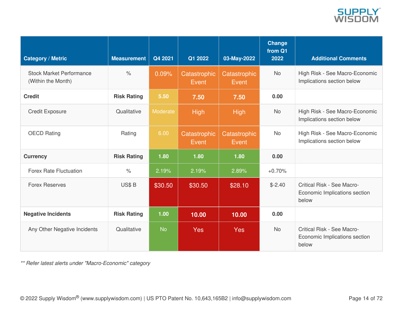

| <b>Category / Metric</b>                              | <b>Measurement</b> | Q4 2021   | Q1 2022               | 03-May-2022           | <b>Change</b><br>from Q1<br>2022 | <b>Additional Comments</b>                                           |
|-------------------------------------------------------|--------------------|-----------|-----------------------|-----------------------|----------------------------------|----------------------------------------------------------------------|
| <b>Stock Market Performance</b><br>(Within the Month) | $\%$               | 0.09%     | Catastrophic<br>Event | Catastrophic<br>Event | <b>No</b>                        | High Risk - See Macro-Economic<br>Implications section below         |
| <b>Credit</b>                                         | <b>Risk Rating</b> | 5.50      | 7.50                  | 7.50                  | 0.00                             |                                                                      |
| <b>Credit Exposure</b>                                | Qualitative        | Moderate  | <b>High</b>           | <b>High</b>           | <b>No</b>                        | High Risk - See Macro-Economic<br>Implications section below         |
| <b>OECD Rating</b>                                    | Rating             | 6.00      | Catastrophic<br>Event | Catastrophic<br>Event | <b>No</b>                        | High Risk - See Macro-Economic<br>Implications section below         |
| <b>Currency</b>                                       | <b>Risk Rating</b> | 1.80      | 1.80                  | 1.80                  | 0.00                             |                                                                      |
| <b>Forex Rate Fluctuation</b>                         | $\%$               | 2.19%     | 2.19%                 | 2.89%                 | $+0.70%$                         |                                                                      |
| <b>Forex Reserves</b>                                 | US\$B              | \$30.50   | \$30.50               | \$28.10               | $$-2.40$                         | Critical Risk - See Macro-<br>Economic Implications section<br>below |
| <b>Negative Incidents</b>                             | <b>Risk Rating</b> | 1.00      | 10.00                 | 10.00                 | 0.00                             |                                                                      |
| Any Other Negative Incidents                          | Qualitative        | <b>No</b> | <b>Yes</b>            | Yes                   | <b>No</b>                        | Critical Risk - See Macro-<br>Economic Implications section<br>below |

*\*\* Refer latest alerts under "Macro-Economic" category*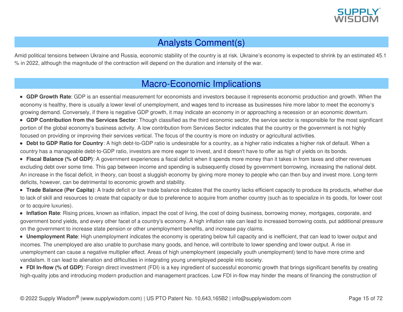

### Analysts Comment(s)

Amid political tensions between Ukraine and Russia, economic stability of the country is at risk. Ukraine's economy is expected to shrink by an estimated 45.1 % in 2022, although the magnitude of the contraction will depend on the duration and intensity of the war.

### Macro-Economic Implications

- **GDP Growth Rate**: GDP is an essential measurement for economists and investors because it represents economic production and growth. When the economy is healthy, there is usually a lower level of unemployment, and wages tend to increase as businesses hire more labor to meet the economy's growing demand. Conversely, if there is negative GDP growth, it may indicate an economy in or approaching a recession or an economic downturn.
- **GDP Contribution from the Services Sector**: Though classified as the third economic sector, the service sector is responsible for the most significant portion of the global economy's business activity. A low contribution from Services Sector indicates that the country or the government is not highly focused on providing or improving their services vertical. The focus of the country is more on industry or agricultural activities.
- **Debt to GDP Ratio for Country**: A high debt-to-GDP ratio is undesirable for a country, as a higher ratio indicates a higher risk of default. When a country has a manageable debt-to-GDP ratio, investors are more eager to invest, and it doesn't have to offer as high of yields on its bonds.
- **Fiscal Balance (% of GDP)**: A government experiences a fiscal deficit when it spends more money than it takes in from taxes and other revenues excluding debt over some time. This gap between income and spending is subsequently closed by government borrowing, increasing the national debt. An increase in the fiscal deficit, in theory, can boost a sluggish economy by giving more money to people who can then buy and invest more. Long-term deficits, however, can be detrimental to economic growth and stability.
- **Trade Balance (Per Capita)**: A trade deficit or low trade balance indicates that the country lacks efficient capacity to produce its products, whether due to lack of skill and resources to create that capacity or due to preference to acquire from another country (such as to specialize in its goods, for lower cost or to acquire luxuries).
- **Inflation Rate**: Rising prices, known as inflation, impact the cost of living, the cost of doing business, borrowing money, mortgages, corporate, and government bond yields, and every other facet of a country's economy. A high inflation rate can lead to increased borrowing costs, put additional pressure on the government to increase state pension or other unemployment benefits, and increase pay claims.
- **Unemployment Rate**: High unemployment indicates the economy is operating below full capacity and is inefficient, that can lead to lower output and incomes. The unemployed are also unable to purchase many goods, and hence, will contribute to lower spending and lower output. A rise in unemployment can cause a negative multiplier effect. Areas of high unemployment (especially youth unemployment) tend to have more crime and vandalism. It can lead to alienation and difficulties in integrating young unemployed people into society.
- **FDI In-flow (% of GDP)**: Foreign direct investment (FDI) is a key ingredient of successful economic growth that brings significant benefits by creating high-quality jobs and introducing modern production and management practices. Low FDI in-flow may hinder the means of financing the construction of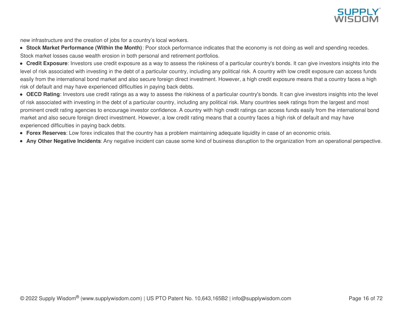

new infrastructure and the creation of jobs for a country's local workers.

- **Stock Market Performance (Within the Month)**: Poor stock performance indicates that the economy is not doing as well and spending recedes. Stock market losses cause wealth erosion in both personal and retirement portfolios.
- **Credit Exposure**: Investors use credit exposure as a way to assess the riskiness of a particular country's bonds. It can give investors insights into the level of risk associated with investing in the debt of a particular country, including any political risk. A country with low credit exposure can access funds easily from the international bond market and also secure foreign direct investment. However, a high credit exposure means that a country faces a high risk of default and may have experienced difficulties in paying back debts.
- **OECD Rating**: Investors use credit ratings as a way to assess the riskiness of a particular country's bonds. It can give investors insights into the level of risk associated with investing in the debt of a particular country, including any political risk. Many countries seek ratings from the largest and most prominent credit rating agencies to encourage investor confidence. A country with high credit ratings can access funds easily from the international bond market and also secure foreign direct investment. However, a low credit rating means that a country faces a high risk of default and may have experienced difficulties in paying back debts.
- **Forex Reserves**: Low forex indicates that the country has a problem maintaining adequate liquidity in case of an economic crisis.
- **Any Other Negative Incidents**: Any negative incident can cause some kind of business disruption to the organization from an operational perspective.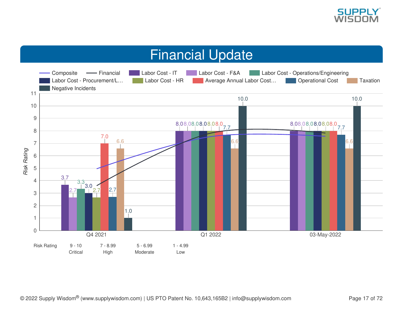

## Financial Update

<span id="page-16-0"></span>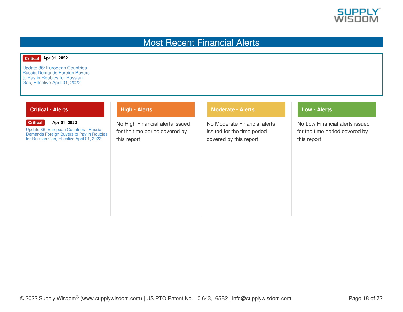

### Most Recent Financial Alerts

### **Critical Apr 01, 2022**

Update 86: [European](https://app.supplywisdom.com/alertProfile?alertId=65466) Countries - Russia Demands Foreign Buyers to Pay in Roubles for Russian Gas, Effective April 01, 2022

### **Critical - Alerts**

#### **Critical Apr 01, 2022**

Update 86: [European](https://app.supplywisdom.com/alertProfile?alertId=65466) Countries - Russia Demands Foreign Buyers to Pay in Roubles for Russian Gas, Effective April 01, 2022

### **High - Alerts**

No High Financial alerts issued for the time period covered by this report

### **Moderate - Alerts**

No Moderate Financial alerts issued for the time period covered by this report

### **Low - Alerts**

No Low Financial alerts issued for the time period covered by this report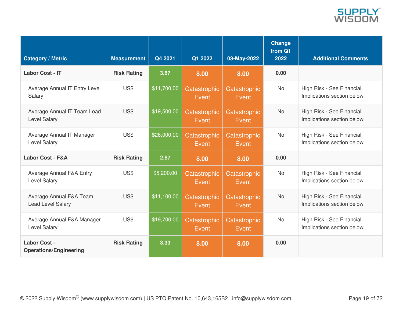

| <b>Category / Metric</b>                                   | <b>Measurement</b> | Q4 2021     | Q1 2022               | 03-May-2022           | <b>Change</b><br>from Q1<br>2022 | <b>Additional Comments</b>                              |
|------------------------------------------------------------|--------------------|-------------|-----------------------|-----------------------|----------------------------------|---------------------------------------------------------|
| <b>Labor Cost - IT</b>                                     | <b>Risk Rating</b> | 3.67        | 8.00                  | 8.00                  | 0.00                             |                                                         |
| Average Annual IT Entry Level<br>Salary                    | US\$               | \$11,700.00 | Catastrophic<br>Event | Catastrophic<br>Event | <b>No</b>                        | High Risk - See Financial<br>Implications section below |
| Average Annual IT Team Lead<br><b>Level Salary</b>         | US\$               | \$19,500.00 | Catastrophic<br>Event | Catastrophic<br>Event | <b>No</b>                        | High Risk - See Financial<br>Implications section below |
| Average Annual IT Manager<br><b>Level Salary</b>           | US\$               | \$26,000.00 | Catastrophic<br>Event | Catastrophic<br>Event | <b>No</b>                        | High Risk - See Financial<br>Implications section below |
| <b>Labor Cost - F&amp;A</b>                                | <b>Risk Rating</b> | 2.67        | 8.00                  | 8.00                  | 0.00                             |                                                         |
| <b>Average Annual F&amp;A Entry</b><br><b>Level Salary</b> | US\$               | \$5,200.00  | Catastrophic<br>Event | Catastrophic<br>Event | <b>No</b>                        | High Risk - See Financial<br>Implications section below |
| Average Annual F&A Team<br><b>Lead Level Salary</b>        | US\$               | \$11,100.00 | Catastrophic<br>Event | Catastrophic<br>Event | <b>No</b>                        | High Risk - See Financial<br>Implications section below |
| Average Annual F&A Manager<br><b>Level Salary</b>          | US\$               | \$19,700.00 | Catastrophic<br>Event | Catastrophic<br>Event | <b>No</b>                        | High Risk - See Financial<br>Implications section below |
| <b>Labor Cost -</b><br><b>Operations/Engineering</b>       | <b>Risk Rating</b> | 3.33        | 8.00                  | 8.00                  | 0.00                             |                                                         |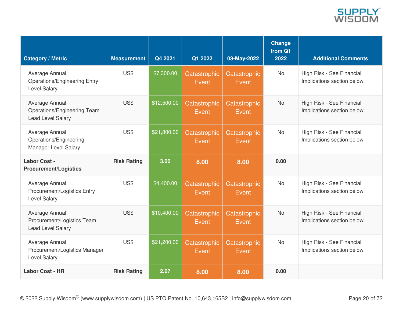

| <b>Category / Metric</b>                                                     | <b>Measurement</b> | Q4 2021     | Q1 2022               | 03-May-2022                  | <b>Change</b><br>from Q1<br>2022 | <b>Additional Comments</b>                              |
|------------------------------------------------------------------------------|--------------------|-------------|-----------------------|------------------------------|----------------------------------|---------------------------------------------------------|
| Average Annual<br><b>Operations/Engineering Entry</b><br><b>Level Salary</b> | US\$               | \$7,300.00  | Catastrophic<br>Event | Catastrophic<br><b>Event</b> | <b>No</b>                        | High Risk - See Financial<br>Implications section below |
| Average Annual<br>Operations/Engineering Team<br><b>Lead Level Salary</b>    | US\$               | \$12,500.00 | Catastrophic<br>Event | Catastrophic<br>Event        | <b>No</b>                        | High Risk - See Financial<br>Implications section below |
| Average Annual<br>Operations/Engineering<br>Manager Level Salary             | US\$               | \$21,800.00 | Catastrophic<br>Event | Catastrophic<br><b>Event</b> | <b>No</b>                        | High Risk - See Financial<br>Implications section below |
| Labor Cost -<br><b>Procurement/Logistics</b>                                 | <b>Risk Rating</b> | 3.00        | 8.00                  | 8.00                         | 0.00                             |                                                         |
| Average Annual<br>Procurement/Logistics Entry<br><b>Level Salary</b>         | US\$               | \$4,400.00  | Catastrophic<br>Event | Catastrophic<br>Event        | <b>No</b>                        | High Risk - See Financial<br>Implications section below |
| Average Annual<br>Procurement/Logistics Team<br><b>Lead Level Salary</b>     | US\$               | \$10,400.00 | Catastrophic<br>Event | Catastrophic<br>Event        | <b>No</b>                        | High Risk - See Financial<br>Implications section below |
| Average Annual<br>Procurement/Logistics Manager<br><b>Level Salary</b>       | US\$               | \$21,200.00 | Catastrophic<br>Event | Catastrophic<br><b>Event</b> | <b>No</b>                        | High Risk - See Financial<br>Implications section below |
| <b>Labor Cost - HR</b>                                                       | <b>Risk Rating</b> | 2.67        | 8.00                  | 8.00                         | 0.00                             |                                                         |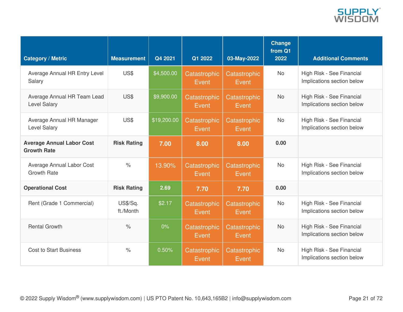

| <b>Category / Metric</b>                               | <b>Measurement</b>    | Q4 2021     | Q1 2022               | 03-May-2022           | Change<br>from Q1<br>2022 | <b>Additional Comments</b>                              |
|--------------------------------------------------------|-----------------------|-------------|-----------------------|-----------------------|---------------------------|---------------------------------------------------------|
| Average Annual HR Entry Level<br>Salary                | US\$                  | \$4,500.00  | Catastrophic<br>Event | Catastrophic<br>Event | <b>No</b>                 | High Risk - See Financial<br>Implications section below |
| Average Annual HR Team Lead<br><b>Level Salary</b>     | US\$                  | \$9,900.00  | Catastrophic<br>Event | Catastrophic<br>Event | <b>No</b>                 | High Risk - See Financial<br>Implications section below |
| Average Annual HR Manager<br><b>Level Salary</b>       | US\$                  | \$19,200.00 | Catastrophic<br>Event | Catastrophic<br>Event | <b>No</b>                 | High Risk - See Financial<br>Implications section below |
| <b>Average Annual Labor Cost</b><br><b>Growth Rate</b> | <b>Risk Rating</b>    | 7.00        | 8.00                  | 8.00                  | 0.00                      |                                                         |
| Average Annual Labor Cost<br><b>Growth Rate</b>        | $\frac{1}{\sqrt{2}}$  | 13.90%      | Catastrophic<br>Event | Catastrophic<br>Event | <b>No</b>                 | High Risk - See Financial<br>Implications section below |
| <b>Operational Cost</b>                                | <b>Risk Rating</b>    | 2.69        | 7.70                  | 7.70                  | 0.00                      |                                                         |
| Rent (Grade 1 Commercial)                              | US\$/Sq.<br>ft./Month | \$2.17      | Catastrophic<br>Event | Catastrophic<br>Event | <b>No</b>                 | High Risk - See Financial<br>Implications section below |
| <b>Rental Growth</b>                                   | $\%$                  | $0\%$       | Catastrophic<br>Event | Catastrophic<br>Event | <b>No</b>                 | High Risk - See Financial<br>Implications section below |
| <b>Cost to Start Business</b>                          | $\%$                  | 0.50%       | Catastrophic<br>Event | Catastrophic<br>Event | <b>No</b>                 | High Risk - See Financial<br>Implications section below |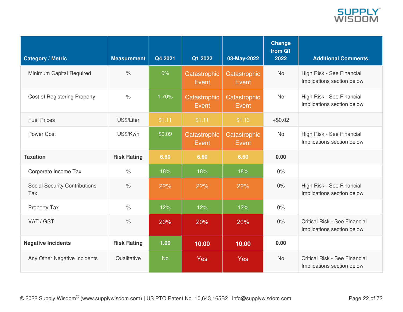

| <b>Category / Metric</b>                    | <b>Measurement</b>   | Q4 2021   | Q1 2022               | 03-May-2022           | Change<br>from Q1<br>2022 | <b>Additional Comments</b>                                  |
|---------------------------------------------|----------------------|-----------|-----------------------|-----------------------|---------------------------|-------------------------------------------------------------|
| Minimum Capital Required                    | $\frac{0}{0}$        | $0\%$     | Catastrophic<br>Event | Catastrophic<br>Event | <b>No</b>                 | High Risk - See Financial<br>Implications section below     |
| <b>Cost of Registering Property</b>         | $\%$                 | 1.70%     | Catastrophic<br>Event | Catastrophic<br>Event | <b>No</b>                 | High Risk - See Financial<br>Implications section below     |
| <b>Fuel Prices</b>                          | US\$/Liter           | \$1.11    | \$1.11                | \$1.13                | $+ $0.02$                 |                                                             |
| Power Cost                                  | US\$/Kwh             | \$0.09    | Catastrophic<br>Event | Catastrophic<br>Event | <b>No</b>                 | High Risk - See Financial<br>Implications section below     |
| <b>Taxation</b>                             | <b>Risk Rating</b>   | 6.60      | 6.60                  | 6.60                  | 0.00                      |                                                             |
| Corporate Income Tax                        | $\frac{1}{2}$        | 18%       | 18%                   | 18%                   | 0%                        |                                                             |
| <b>Social Security Contributions</b><br>Tax | $\frac{1}{\sqrt{2}}$ | 22%       | 22%                   | 22%                   | 0%                        | High Risk - See Financial<br>Implications section below     |
| Property Tax                                | $\%$                 | 12%       | 12%                   | 12%                   | 0%                        |                                                             |
| VAT / GST                                   | $\%$                 | 20%       | 20%                   | 20%                   | 0%                        | Critical Risk - See Financial<br>Implications section below |
| <b>Negative Incidents</b>                   | <b>Risk Rating</b>   | 1.00      | 10.00                 | 10.00                 | 0.00                      |                                                             |
| Any Other Negative Incidents                | Qualitative          | <b>No</b> | <b>Yes</b>            | <b>Yes</b>            | <b>No</b>                 | Critical Risk - See Financial<br>Implications section below |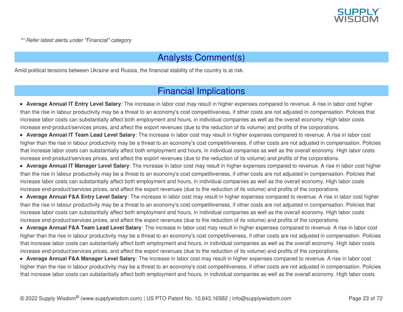

*\*\* Refer latest alerts under "Financial" category*

### Analysts Comment(s)

Amid political tensions between Ukraine and Russia, the financial stability of the country is at risk.

### Financial Implications

**Average Annual IT Entry Level Salary**: The increase in labor cost may result in higher expenses compared to revenue. A rise in labor cost higher than the rise in labour productivity may be a threat to an economy's cost competitiveness, if other costs are not adjusted in compensation. Policies that increase labor costs can substantially affect both employment and hours, in individual companies as well as the overall economy. High labor costs increase end-product/services prices, and affect the export revenues (due to the reduction of its volume) and profits of the corporations.

**Average Annual IT Team Lead Level Salary**: The increase in labor cost may result in higher expenses compared to revenue. A rise in labor cost higher than the rise in labour productivity may be a threat to an economy's cost competitiveness, if other costs are not adjusted in compensation. Policies that increase labor costs can substantially affect both employment and hours, in individual companies as well as the overall economy. High labor costs increase end-product/services prices, and affect the export revenues (due to the reduction of its volume) and profits of the corporations.

**Average Annual IT Manager Level Salary**: The increase in labor cost may result in higher expenses compared to revenue. A rise in labor cost higher than the rise in labour productivity may be a threat to an economy's cost competitiveness, if other costs are not adjusted in compensation. Policies that increase labor costs can substantially affect both employment and hours, in individual companies as well as the overall economy. High labor costs increase end-product/services prices, and affect the export revenues (due to the reduction of its volume) and profits of the corporations.

**Average Annual F&A Entry Level Salary**: The increase in labor cost may result in higher expenses compared to revenue. A rise in labor cost higher than the rise in labour productivity may be a threat to an economy's cost competitiveness, if other costs are not adjusted in compensation. Policies that increase labor costs can substantially affect both employment and hours, in individual companies as well as the overall economy. High labor costs increase end-product/services prices, and affect the export revenues (due to the reduction of its volume) and profits of the corporations.

**Average Annual F&A Team Lead Level Salary**: The increase in labor cost may result in higher expenses compared to revenue. A rise in labor cost higher than the rise in labour productivity may be a threat to an economy's cost competitiveness, if other costs are not adjusted in compensation. Policies that increase labor costs can substantially affect both employment and hours, in individual companies as well as the overall economy. High labor costs increase end-product/services prices, and affect the export revenues (due to the reduction of its volume) and profits of the corporations.

**Average Annual F&A Manager Level Salary**: The increase in labor cost may result in higher expenses compared to revenue. A rise in labor cost higher than the rise in labour productivity may be a threat to an economy's cost competitiveness, if other costs are not adjusted in compensation. Policies that increase labor costs can substantially affect both employment and hours, in individual companies as well as the overall economy. High labor costs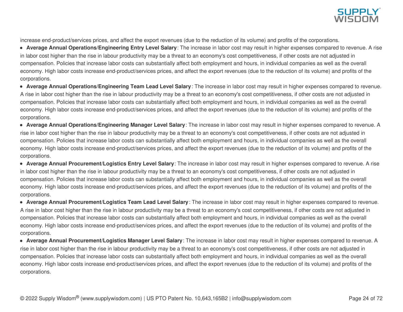

increase end-product/services prices, and affect the export revenues (due to the reduction of its volume) and profits of the corporations.

**Average Annual Operations/Engineering Entry Level Salary**: The increase in labor cost may result in higher expenses compared to revenue. A rise in labor cost higher than the rise in labour productivity may be a threat to an economy's cost competitiveness, if other costs are not adjusted in compensation. Policies that increase labor costs can substantially affect both employment and hours, in individual companies as well as the overall economy. High labor costs increase end-product/services prices, and affect the export revenues (due to the reduction of its volume) and profits of the corporations.

**Average Annual Operations/Engineering Team Lead Level Salary**: The increase in labor cost may result in higher expenses compared to revenue. A rise in labor cost higher than the rise in labour productivity may be a threat to an economy's cost competitiveness, if other costs are not adjusted in compensation. Policies that increase labor costs can substantially affect both employment and hours, in individual companies as well as the overall economy. High labor costs increase end-product/services prices, and affect the export revenues (due to the reduction of its volume) and profits of the corporations.

**Average Annual Operations/Engineering Manager Level Salary**: The increase in labor cost may result in higher expenses compared to revenue. A rise in labor cost higher than the rise in labour productivity may be a threat to an economy's cost competitiveness, if other costs are not adjusted in compensation. Policies that increase labor costs can substantially affect both employment and hours, in individual companies as well as the overall economy. High labor costs increase end-product/services prices, and affect the export revenues (due to the reduction of its volume) and profits of the corporations.

**Average Annual Procurement/Logistics Entry Level Salary**: The increase in labor cost may result in higher expenses compared to revenue. A rise in labor cost higher than the rise in labour productivity may be a threat to an economy's cost competitiveness, if other costs are not adjusted in compensation. Policies that increase labor costs can substantially affect both employment and hours, in individual companies as well as the overall economy. High labor costs increase end-product/services prices, and affect the export revenues (due to the reduction of its volume) and profits of the corporations.

**Average Annual Procurement/Logistics Team Lead Level Salary**: The increase in labor cost may result in higher expenses compared to revenue. A rise in labor cost higher than the rise in labour productivity may be a threat to an economy's cost competitiveness, if other costs are not adjusted in compensation. Policies that increase labor costs can substantially affect both employment and hours, in individual companies as well as the overall economy. High labor costs increase end-product/services prices, and affect the export revenues (due to the reduction of its volume) and profits of the corporations.

**Average Annual Procurement/Logistics Manager Level Salary**: The increase in labor cost may result in higher expenses compared to revenue. A rise in labor cost higher than the rise in labour productivity may be a threat to an economy's cost competitiveness, if other costs are not adjusted in compensation. Policies that increase labor costs can substantially affect both employment and hours, in individual companies as well as the overall economy. High labor costs increase end-product/services prices, and affect the export revenues (due to the reduction of its volume) and profits of the corporations.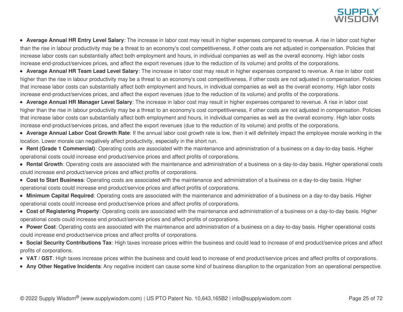

**Average Annual HR Entry Level Salary**: The increase in labor cost may result in higher expenses compared to revenue. A rise in labor cost higher than the rise in labour productivity may be a threat to an economy's cost competitiveness, if other costs are not adjusted in compensation. Policies that increase labor costs can substantially affect both employment and hours, in individual companies as well as the overall economy. High labor costs increase end-product/services prices, and affect the export revenues (due to the reduction of its volume) and profits of the corporations.

**Average Annual HR Team Lead Level Salary**: The increase in labor cost may result in higher expenses compared to revenue. A rise in labor cost higher than the rise in labour productivity may be a threat to an economy's cost competitiveness, if other costs are not adjusted in compensation. Policies that increase labor costs can substantially affect both employment and hours, in individual companies as well as the overall economy. High labor costs increase end-product/services prices, and affect the export revenues (due to the reduction of its volume) and profits of the corporations.

**Average Annual HR Manager Level Salary**: The increase in labor cost may result in higher expenses compared to revenue. A rise in labor cost higher than the rise in labour productivity may be a threat to an economy's cost competitiveness, if other costs are not adjusted in compensation. Policies that increase labor costs can substantially affect both employment and hours, in individual companies as well as the overall economy. High labor costs increase end-product/services prices, and affect the export revenues (due to the reduction of its volume) and profits of the corporations.

**Average Annual Labor Cost Growth Rate**: If the annual labor cost growth rate is low, then it will definitely impact the employee morale working in the location. Lower morale can negatively affect productivity, especially in the short run.

**Rent (Grade 1 Commercial)**: Operating costs are associated with the maintenance and administration of a business on a day-to-day basis. Higher operational costs could increase end product/service prices and affect profits of corporations.

- **Rental Growth**: Operating costs are associated with the maintenance and administration of a business on a day-to-day basis. Higher operational costs could increase end product/service prices and affect profits of corporations.
- **Cost to Start Business**: Operating costs are associated with the maintenance and administration of a business on a day-to-day basis. Higher operational costs could increase end product/service prices and affect profits of corporations.
- **Minimum Capital Required**: Operating costs are associated with the maintenance and administration of a business on a day-to-day basis. Higher operational costs could increase end product/service prices and affect profits of corporations.
- **Cost of Registering Property**: Operating costs are associated with the maintenance and administration of a business on a day-to-day basis. Higher operational costs could increase end product/service prices and affect profits of corporations.
- **Power Cost**: Operating costs are associated with the maintenance and administration of a business on a day-to-day basis. Higher operational costs could increase end product/service prices and affect profits of corporations.

**Social Security Contributions Tax**: High taxes increase prices within the business and could lead to increase of end product/service prices and affect profits of corporations.

- **VAT / GST**: High taxes increase prices within the business and could lead to increase of end product/service prices and affect profits of corporations.
- **Any Other Negative Incidents**: Any negative incident can cause some kind of business disruption to the organization from an operational perspective.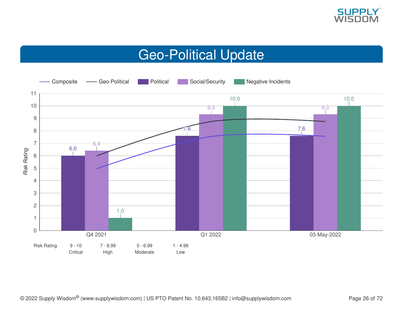

## Geo-Political Update

<span id="page-25-0"></span>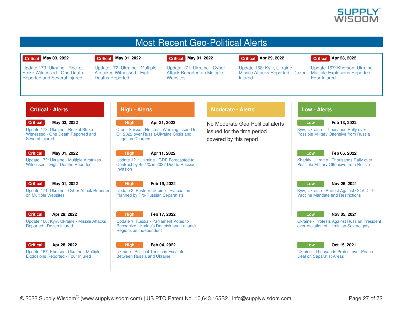

### Most Recent Geo-Political Alerts

### **Critical May 03, 2022**

Update 173: Ukraine - Rocket Strike [Witnessed](https://app.supplywisdom.com/alertProfile?alertId=66942) - One Death Reported and Several Injured

#### **Critical May 01, 2022**

Deaths Reported

Update 172: Ukraine - Multiple Airstrikes [Witnessed](https://app.supplywisdom.com/alertProfile?alertId=66899) - Eight

### **Critical May 01, 2022**

**Websites** 

Update 171: Ukraine - Cyber Attack [Reported](https://app.supplywisdom.com/alertProfile?alertId=66898) on Multiple

### **Critical Apr 29, 2022**

Update 168: Kyiv, Ukraine - Missile Attacks [Reported](https://app.supplywisdom.com/alertProfile?alertId=66774) - Dozen

### **Critical Apr 28, 2022**

Update 167: Kherson, Ukraine - Multiple [Explosions](https://app.supplywisdom.com/alertProfile?alertId=66715) Reported - Four Injured

### **Critical - Alerts**

**Critical May 03, 2022**

Update 173: Ukraine - Rocket Strike [Witnessed](https://app.supplywisdom.com/alertProfile?alertId=66942) - One Death Reported and Several Injured

### **Critical**

**May 01, 2022** Update 172: Ukraine - Multiple Airstrikes [Witnessed](https://app.supplywisdom.com/alertProfile?alertId=66899) - Eight Deaths Reported

#### **Critical May 01, 2022**

Update 171: Ukraine - Cyber Attack [Reported](https://app.supplywisdom.com/alertProfile?alertId=66898) on Multiple Websites



#### **Apr 29, 2022**

Update 168: Kyiv, Ukraine - Missile Attacks [Reported](https://app.supplywisdom.com/alertProfile?alertId=66774) - Dozen Injured



**Apr 28, 2022**

Update 167: Kherson, Ukraine - Multiple [Explosions](https://app.supplywisdom.com/alertProfile?alertId=66715) Reported - Four Injured

### **High - Alerts**

**High Apr 21, 2022** Credit Suisse - Net Loss Warning Issued for Q1 2022 over [Russia-Ukraine](https://app.supplywisdom.com/alertProfile?alertId=66385) Crisis and Litigation Charges

**High Apr 11, 2022** Update 121: Ukraine - GDP [Forecasted](https://app.supplywisdom.com/alertProfile?alertId=65965) to

Contract by 45.1% in 2022 Due to Russian Invasion



Update 2: Eastern Ukraine - Evacuation Planned by [Pro-Russian](https://app.supplywisdom.com/alertProfile?alertId=63669) Separatists



**High**

Update 1: Russia - Parliament Votes to Recognize Ukraine's Donetsk and Luhansk Regions as [Independent](https://app.supplywisdom.com/alertProfile?alertId=63563)



Ukraine - Political [Tensions](https://app.supplywisdom.com/alertProfile?alertId=62898) Escalate Between Russia and Ukraine

### **Moderate - Alerts**

**Injured** 

No Moderate Geo-Political alerts issued for the time period covered by this report

### **Low - Alerts**

**Low**

Kyiv, Ukraine - [Thousands](https://app.supplywisdom.com/alertProfile?alertId=63366) Rally over Possible Military Offensive from Russia

### **Low**

**Feb 06, 2022**

**Feb 13, 2022**

Kharkiv, Ukraine - [Thousands](https://app.supplywisdom.com/alertProfile?alertId=63022) Rally over Possible Military Offensive from Russia



#### **Nov 26, 2021**

Kyiv, Ukraine - Protest Against COVID-19 Vaccine Mandate and [Restrictions](https://app.supplywisdom.com/alertProfile?alertId=60499)



**Nov 05, 2021**

Ukraine - Protests Against Russian President over Violation of Ukrainian [Sovereignty](https://app.supplywisdom.com/alertProfile?alertId=59625)



**Oct 15, 2021**

Ukraine - [Thousands](https://app.supplywisdom.com/alertProfile?alertId=58795) Protest over Peace Deal on Separatist Areas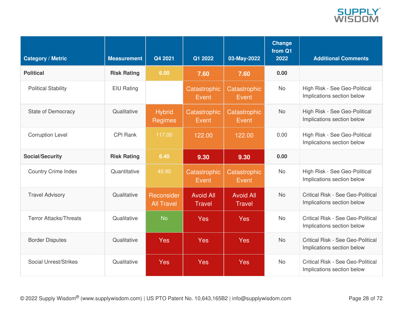

| <b>Category / Metric</b>      | <b>Measurement</b> | Q4 2021                         | Q1 2022                           | 03-May-2022                       | Change<br>from Q1<br>2022 | <b>Additional Comments</b>                                             |
|-------------------------------|--------------------|---------------------------------|-----------------------------------|-----------------------------------|---------------------------|------------------------------------------------------------------------|
| <b>Political</b>              | <b>Risk Rating</b> | 6.00                            | 7.60                              | 7.60                              | 0.00                      |                                                                        |
| <b>Political Stability</b>    | <b>EIU Rating</b>  |                                 | Catastrophic<br>Event             | Catastrophic<br>Event             | <b>No</b>                 | High Risk - See Geo-Political<br>Implications section below            |
| <b>State of Democracy</b>     | Qualitative        | <b>Hybrid</b><br><b>Regimes</b> | Catastrophic<br>Event             | Catastrophic<br>Event             | <b>No</b>                 | High Risk - See Geo-Political<br>Implications section below            |
| <b>Corruption Level</b>       | <b>CPI Rank</b>    | 117.00                          | 122.00                            | 122.00                            | 0.00                      | High Risk - See Geo-Political<br>Implications section below            |
| <b>Social/Security</b>        | <b>Risk Rating</b> | 6.40                            | 9.30                              | 9.30                              | 0.00                      |                                                                        |
| <b>Country Crime Index</b>    | Quantitative       | 45.90                           | Catastrophic<br>Event             | Catastrophic<br>Event             | <b>No</b>                 | High Risk - See Geo-Political<br>Implications section below            |
| <b>Travel Advisory</b>        | Qualitative        | Reconsider<br><b>All Travel</b> | <b>Avoid All</b><br><b>Travel</b> | <b>Avoid All</b><br><b>Travel</b> | <b>No</b>                 | <b>Critical Risk - See Geo-Political</b><br>Implications section below |
| <b>Terror Attacks/Threats</b> | Qualitative        | <b>No</b>                       | Yes                               | <b>Yes</b>                        | <b>No</b>                 | Critical Risk - See Geo-Political<br>Implications section below        |
| <b>Border Disputes</b>        | Qualitative        | Yes                             | Yes                               | <b>Yes</b>                        | <b>No</b>                 | <b>Critical Risk - See Geo-Political</b><br>Implications section below |
| Social Unrest/Strikes         | Qualitative        | <b>Yes</b>                      | Yes                               | Yes                               | <b>No</b>                 | Critical Risk - See Geo-Political<br>Implications section below        |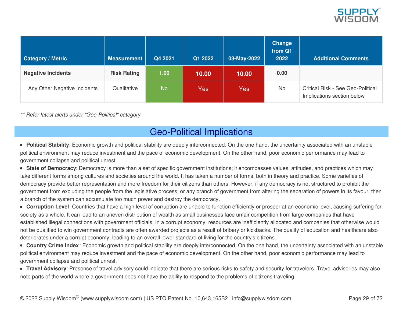

| <b>Category / Metric</b>     | <b>Measurement</b> | Q4 2021   | Q1 2022 | 03-May-2022 | <b>Change</b><br>from Q1<br>2022 | <b>Additional Comments</b>                                             |
|------------------------------|--------------------|-----------|---------|-------------|----------------------------------|------------------------------------------------------------------------|
| <b>Negative Incidents</b>    | <b>Risk Rating</b> | 1.00      | 10.00   | 10.00       | 0.00                             |                                                                        |
| Any Other Negative Incidents | Qualitative        | <b>No</b> | Yes:    | Yes:        | <b>No</b>                        | <b>Critical Risk - See Geo-Political</b><br>Implications section below |

*\*\* Refer latest alerts under "Geo-Political" category*

### Geo-Political Implications

- **Political Stability**: Economic growth and political stability are deeply interconnected. On the one hand, the uncertainty associated with an unstable political environment may reduce investment and the pace of economic development. On the other hand, poor economic performance may lead to government collapse and political unrest.
- **State of Democracy**: Democracy is more than a set of specific government institutions; it encompasses values, attitudes, and practices which may take different forms among cultures and societies around the world. It has taken a number of forms, both in theory and practice. Some varieties of democracy provide better representation and more freedom for their citizens than others. However, if any democracy is not structured to prohibit the government from excluding the people from the legislative process, or any branch of government from altering the separation of powers in its favour, then a branch of the system can accumulate too much power and destroy the democracy.
- **Corruption Level**: Countries that have a high level of corruption are unable to function efficiently or prosper at an economic level, causing suffering for society as a whole. It can lead to an uneven distribution of wealth as small businesses face unfair competition from large companies that have established illegal connections with government officials. In a corrupt economy, resources are inefficiently allocated and companies that otherwise would not be qualified to win government contracts are often awarded projects as a result of bribery or kickbacks. The quality of education and healthcare also deteriorates under a corrupt economy, leading to an overall lower standard of living for the country's citizens.
- **Country Crime Index**: Economic growth and political stability are deeply interconnected. On the one hand, the uncertainty associated with an unstable political environment may reduce investment and the pace of economic development. On the other hand, poor economic performance may lead to government collapse and political unrest.
- **Travel Advisory**: Presence of travel advisory could indicate that there are serious risks to safety and security for travelers. Travel advisories may also note parts of the world where a government does not have the ability to respond to the problems of citizens traveling.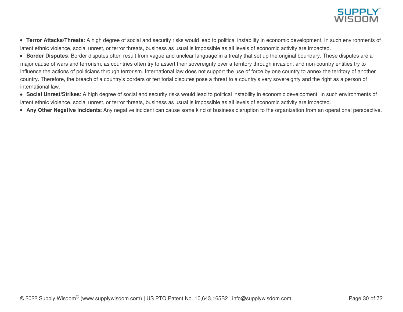

- **Terror Attacks/Threats**: A high degree of social and security risks would lead to political instability in economic development. In such environments of latent ethnic violence, social unrest, or terror threats, business as usual is impossible as all levels of economic activity are impacted.
- **Border Disputes**: Border disputes often result from vague and unclear language in a treaty that set up the original boundary. These disputes are a major cause of wars and terrorism, as countries often try to assert their sovereignty over a territory through invasion, and non-country entities try to influence the actions of politicians through terrorism. International law does not support the use of force by one country to annex the territory of another country. Therefore, the breach of a country's borders or territorial disputes pose a threat to a country's very sovereignty and the right as a person of international law.
- **Social Unrest/Strikes**: A high degree of social and security risks would lead to political instability in economic development. In such environments of latent ethnic violence, social unrest, or terror threats, business as usual is impossible as all levels of economic activity are impacted.
- **Any Other Negative Incidents**: Any negative incident can cause some kind of business disruption to the organization from an operational perspective.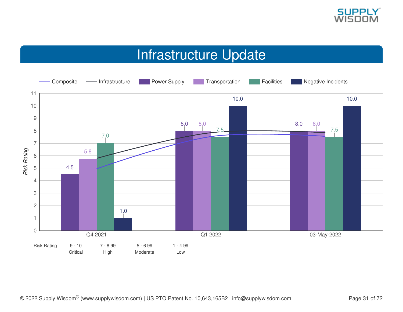

## Infrastructure Update

<span id="page-30-0"></span>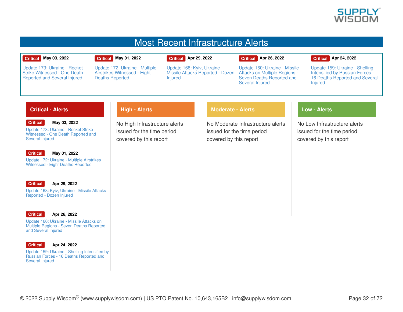

### Most Recent Infrastructure Alerts

#### **Critical May 03, 2022**

Update 173: Ukraine - Rocket Strike [Witnessed](https://app.supplywisdom.com/alertProfile?alertId=66942) - One Death Reported and Several Injured

#### **Critical May 01, 2022**

Deaths Reported

Update 172: Ukraine - Multiple Airstrikes [Witnessed](https://app.supplywisdom.com/alertProfile?alertId=66899) - Eight

**Critical Apr 29, 2022**

Update 168: Kyiv, Ukraine - Missile Attacks [Reported](https://app.supplywisdom.com/alertProfile?alertId=66774) - Dozen **Injured** 

Update 160: Ukraine - Missile Attacks on Multiple Regions - Seven Deaths [Reported](https://app.supplywisdom.com/alertProfile?alertId=66638) and

**Critical Apr 26, 2022**

Several Injured

#### **Critical Apr 24, 2022**

Update 159: Ukraine - Shelling [Intensified](https://app.supplywisdom.com/alertProfile?alertId=66561) by Russian Forces - 16 Deaths Reported and Several **Injured** 

### **Critical - Alerts**

#### **Critical May 03, 2022**

Update 173: Ukraine - Rocket Strike [Witnessed](https://app.supplywisdom.com/alertProfile?alertId=66942) - One Death Reported and Several Injured

#### **Critical**

**May 01, 2022**

Update 172: Ukraine - Multiple Airstrikes [Witnessed](https://app.supplywisdom.com/alertProfile?alertId=66899) - Eight Deaths Reported

#### **Critical Apr 29, 2022**

Update 168: Kyiv, Ukraine - Missile Attacks [Reported](https://app.supplywisdom.com/alertProfile?alertId=66774) - Dozen Injured



#### **Apr 26, 2022**

Update 160: Ukraine - Missile Attacks on Multiple Regions - Seven Deaths [Reported](https://app.supplywisdom.com/alertProfile?alertId=66638) and Several Injured



#### **Apr 24, 2022**

Update 159: Ukraine - Shelling [Intensified](https://app.supplywisdom.com/alertProfile?alertId=66561) by Russian Forces - 16 Deaths Reported and Several Injured

No High Infrastructure alerts issued for the time period covered by this report

**High - Alerts**

### **Moderate - Alerts**

No Moderate Infrastructure alerts issued for the time period covered by this report

### **Low - Alerts**

No Low Infrastructure alerts issued for the time period covered by this report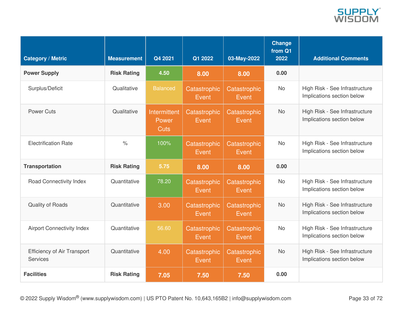

| <b>Category / Metric</b>                              | <b>Measurement</b>   | Q4 2021                              | Q1 2022               | 03-May-2022           | <b>Change</b><br>from Q1<br>2022 | <b>Additional Comments</b>                                   |
|-------------------------------------------------------|----------------------|--------------------------------------|-----------------------|-----------------------|----------------------------------|--------------------------------------------------------------|
| <b>Power Supply</b>                                   | <b>Risk Rating</b>   | 4.50                                 | 8.00                  | 8.00                  | 0.00                             |                                                              |
| Surplus/Deficit                                       | Qualitative          | <b>Balanced</b>                      | Catastrophic<br>Event | Catastrophic<br>Event | <b>No</b>                        | High Risk - See Infrastructure<br>Implications section below |
| <b>Power Cuts</b>                                     | Qualitative          | Intermittent<br>Power<br><b>Cuts</b> | Catastrophic<br>Event | Catastrophic<br>Event | <b>No</b>                        | High Risk - See Infrastructure<br>Implications section below |
| <b>Electrification Rate</b>                           | $\frac{1}{\sqrt{2}}$ | 100%                                 | Catastrophic<br>Event | Catastrophic<br>Event | <b>No</b>                        | High Risk - See Infrastructure<br>Implications section below |
| <b>Transportation</b>                                 | <b>Risk Rating</b>   | 5.75                                 | 8.00                  | 8.00                  | 0.00                             |                                                              |
| Road Connectivity Index                               | Quantitative         | 78.20                                | Catastrophic<br>Event | Catastrophic<br>Event | <b>No</b>                        | High Risk - See Infrastructure<br>Implications section below |
| Quality of Roads                                      | Quantitative         | 3.00                                 | Catastrophic<br>Event | Catastrophic<br>Event | <b>No</b>                        | High Risk - See Infrastructure<br>Implications section below |
| <b>Airport Connectivity Index</b>                     | Quantitative         | 56.60                                | Catastrophic<br>Event | Catastrophic<br>Event | <b>No</b>                        | High Risk - See Infrastructure<br>Implications section below |
| <b>Efficiency of Air Transport</b><br><b>Services</b> | Quantitative         | 4.00                                 | Catastrophic<br>Event | Catastrophic<br>Event | <b>No</b>                        | High Risk - See Infrastructure<br>Implications section below |
| <b>Facilities</b>                                     | <b>Risk Rating</b>   | 7.05                                 | 7.50                  | 7.50                  | 0.00                             |                                                              |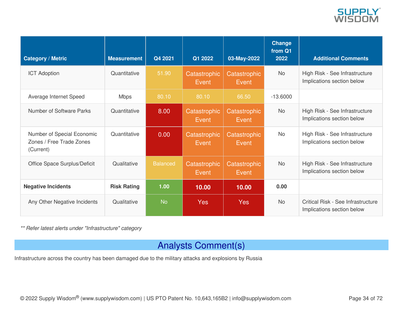

| <b>Category / Metric</b>                                            | <b>Measurement</b> | Q4 2021         | Q1 2022                | 03-May-2022           | <b>Change</b><br>from Q1<br>2022 | <b>Additional Comments</b>                                       |
|---------------------------------------------------------------------|--------------------|-----------------|------------------------|-----------------------|----------------------------------|------------------------------------------------------------------|
| <b>ICT Adoption</b>                                                 | Quantitative       | 51.90           | Catastrophic<br>Event  | Catastrophic<br>Event | <b>No</b>                        | High Risk - See Infrastructure<br>Implications section below     |
| Average Internet Speed                                              | <b>Mbps</b>        | 80.10           | 80.10                  | 66.50                 | $-13,6000$                       |                                                                  |
| Number of Software Parks                                            | Quantitative       | 8.00            | Catastrophic<br>Event  | Catastrophic<br>Event | <b>No</b>                        | High Risk - See Infrastructure<br>Implications section below     |
| Number of Special Economic<br>Zones / Free Trade Zones<br>(Current) | Quantitative       | 0.00            | Catastrophic<br>Event. | Catastrophic<br>Event | <b>No</b>                        | High Risk - See Infrastructure<br>Implications section below     |
| Office Space Surplus/Deficit                                        | Qualitative        | <b>Balanced</b> | Catastrophic<br>Event  | Catastrophic<br>Event | <b>No</b>                        | High Risk - See Infrastructure<br>Implications section below     |
| <b>Negative Incidents</b>                                           | <b>Risk Rating</b> | 1.00            | 10.00                  | 10.00                 | 0.00                             |                                                                  |
| Any Other Negative Incidents                                        | Qualitative        | <b>No</b>       | <b>Yes</b>             | <b>Yes</b>            | <b>No</b>                        | Critical Risk - See Infrastructure<br>Implications section below |

*\*\* Refer latest alerts under "Infrastructure" category*

### Analysts Comment(s)

Infrastructure across the country has been damaged due to the military attacks and explosions by Russia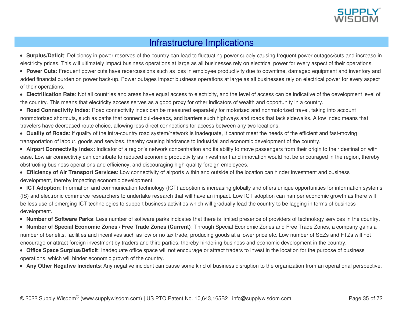

### Infrastructure Implications

**Surplus/Deficit**: Deficiency in power reserves of the country can lead to fluctuating power supply causing frequent power outages/cuts and increase in electricity prices. This will ultimately impact business operations at large as all businesses rely on electrical power for every aspect of their operations.

**Power Cuts**: Frequent power cuts have repercussions such as loss in employee productivity due to downtime, damaged equipment and inventory and added financial burden on power back-up. Power outages impact business operations at large as all businesses rely on electrical power for every aspect of their operations.

**Electrification Rate**: Not all countries and areas have equal access to electricity, and the level of access can be indicative of the development level of the country. This means that electricity access serves as a good proxy for other indicators of wealth and opportunity in a country.

**Road Connectivity Index**: Road connectivity index can be measured separately for motorized and nonmotorized travel, taking into account nonmotorized shortcuts, such as paths that connect cul-de-sacs, and barriers such highways and roads that lack sidewalks. A low index means that travelers have decreased route choice, allowing less direct connections for access between any two locations.

**Quality of Roads**: If quality of the intra-country road system/network is inadequate, it cannot meet the needs of the efficient and fast-moving transportation of labour, goods and services, thereby causing hindrance to industrial and economic development of the country.

**Airport Connectivity Index**: Indicator of a region's network concentration and its ability to move passengers from their origin to their destination with ease. Low air connectivity can contribute to reduced economic productivity as investment and innovation would not be encouraged in the region, thereby obstructing business operations and efficiency, and discouraging high-quality foreign employees.

**Efficiency of Air Transport Services**: Low connectivity of airports within and outside of the location can hinder investment and business development, thereby impacting economic development.

**ICT Adoption**: Information and communication technology (ICT) adoption is increasing globally and offers unique opportunities for information systems (IS) and electronic commerce researchers to undertake research that will have an impact. Low ICT adoption can hamper economic growth as there will be less use of emerging ICT technologies to support business activities which will gradually lead the country to be lagging in terms of business development.

**Number of Software Parks**: Less number of software parks indicates that there is limited presence of providers of technology services in the country.

**Number of Special Economic Zones / Free Trade Zones (Current)**: Through Special Economic Zones and Free Trade Zones, a company gains a number of benefits, facilities and incentives such as low or no tax trade, producing goods at a lower price etc. Low number of SEZs and FTZs will not encourage or attract foreign investment by traders and third parties, thereby hindering business and economic development in the country.

**Office Space Surplus/Deficit**: Inadequate office space will not encourage or attract traders to invest in the location for the purpose of business operations, which will hinder economic growth of the country.

**Any Other Negative Incidents**: Any negative incident can cause some kind of business disruption to the organization from an operational perspective.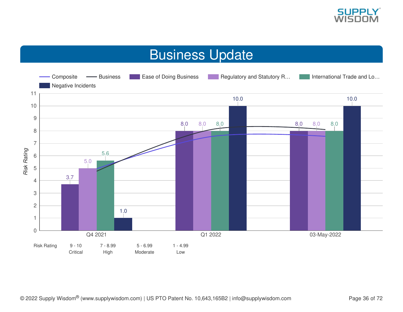

## Business Update

<span id="page-35-0"></span>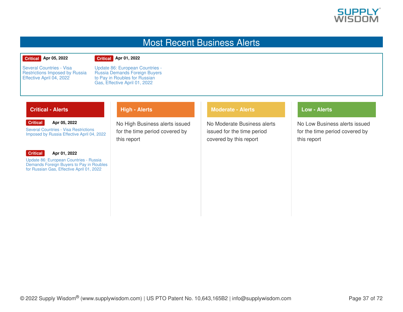

### Most Recent Business Alerts

#### **Critical Apr 05, 2022**

#### **Critical Apr 01, 2022**

Several Countries - Visa [Restrictions](https://app.supplywisdom.com/alertProfile?alertId=65635) Imposed by Russia Effective April 04, 2022

Update 86: [European](https://app.supplywisdom.com/alertProfile?alertId=65466) Countries - Russia Demands Foreign Buyers to Pay in Roubles for Russian Gas, Effective April 01, 2022

**High - Alerts**

### **Critical - Alerts**

#### **Critical Apr 05, 2022**

Several Countries - Visa [Restrictions](https://app.supplywisdom.com/alertProfile?alertId=65635) Imposed by Russia Effective April 04, 2022

#### **Critical**

### **Apr 01, 2022**

Update 86: [European](https://app.supplywisdom.com/alertProfile?alertId=65466) Countries - Russia Demands Foreign Buyers to Pay in Roubles for Russian Gas, Effective April 01, 2022

No High Business alerts issued for the time period covered by this report

### **Moderate - Alerts**

No Moderate Business alerts issued for the time period covered by this report

### **Low - Alerts**

No Low Business alerts issued for the time period covered by this report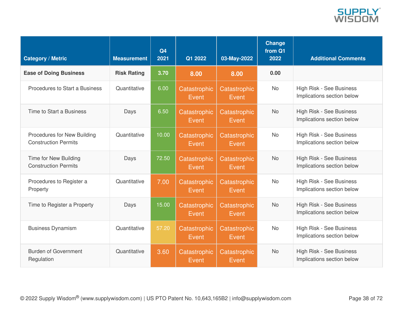

| <b>Category / Metric</b>                                   | <b>Measurement</b> | Q4<br>2021 | Q1 2022               | 03-May-2022           | Change<br>from Q1<br>2022 | <b>Additional Comments</b>                             |
|------------------------------------------------------------|--------------------|------------|-----------------------|-----------------------|---------------------------|--------------------------------------------------------|
| <b>Ease of Doing Business</b>                              | <b>Risk Rating</b> | 3.70       | 8.00                  | 8.00                  | 0.00                      |                                                        |
| Procedures to Start a Business                             | Quantitative       | 6.00       | Catastrophic<br>Event | Catastrophic<br>Event | <b>No</b>                 | High Risk - See Business<br>Implications section below |
| Time to Start a Business                                   | Days               | 6.50       | Catastrophic<br>Event | Catastrophic<br>Event | <b>No</b>                 | High Risk - See Business<br>Implications section below |
| Procedures for New Building<br><b>Construction Permits</b> | Quantitative       | 10.00      | Catastrophic<br>Event | Catastrophic<br>Event | <b>No</b>                 | High Risk - See Business<br>Implications section below |
| Time for New Building<br><b>Construction Permits</b>       | Days               | 72.50      | Catastrophic<br>Event | Catastrophic<br>Event | <b>No</b>                 | High Risk - See Business<br>Implications section below |
| Procedures to Register a<br>Property                       | Quantitative       | 7.00       | Catastrophic<br>Event | Catastrophic<br>Event | <b>No</b>                 | High Risk - See Business<br>Implications section below |
| Time to Register a Property                                | Days               | 15.00      | Catastrophic<br>Event | Catastrophic<br>Event | <b>No</b>                 | High Risk - See Business<br>Implications section below |
| <b>Business Dynamism</b>                                   | Quantitative       | 57.20      | Catastrophic<br>Event | Catastrophic<br>Event | <b>No</b>                 | High Risk - See Business<br>Implications section below |
| <b>Burden of Government</b><br>Regulation                  | Quantitative       | 3.60       | Catastrophic<br>Event | Catastrophic<br>Event | <b>No</b>                 | High Risk - See Business<br>Implications section below |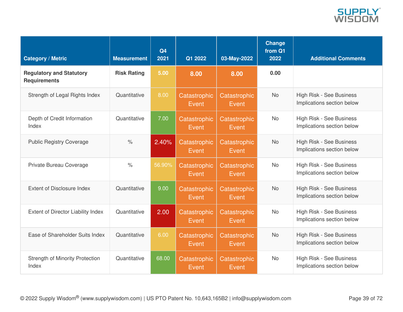

| <b>Category / Metric</b>                               | <b>Measurement</b>   | Q4<br>2021 | Q1 2022               | 03-May-2022           | Change<br>from Q1<br>2022 | <b>Additional Comments</b>                             |
|--------------------------------------------------------|----------------------|------------|-----------------------|-----------------------|---------------------------|--------------------------------------------------------|
| <b>Regulatory and Statutory</b><br><b>Requirements</b> | <b>Risk Rating</b>   | 5.00       | 8.00                  | 8.00                  | 0.00                      |                                                        |
| Strength of Legal Rights Index                         | Quantitative         | 8.00       | Catastrophic<br>Event | Catastrophic<br>Event | <b>No</b>                 | High Risk - See Business<br>Implications section below |
| Depth of Credit Information<br>Index                   | Quantitative         | 7.00       | Catastrophic<br>Event | Catastrophic<br>Event | <b>No</b>                 | High Risk - See Business<br>Implications section below |
| <b>Public Registry Coverage</b>                        | $\frac{1}{\sqrt{2}}$ | 2.40%      | Catastrophic<br>Event | Catastrophic<br>Event | <b>No</b>                 | High Risk - See Business<br>Implications section below |
| Private Bureau Coverage                                | $\frac{0}{0}$        | 56.90%     | Catastrophic<br>Event | Catastrophic<br>Event | <b>No</b>                 | High Risk - See Business<br>Implications section below |
| Extent of Disclosure Index                             | Quantitative         | 9.00       | Catastrophic<br>Event | Catastrophic<br>Event | <b>No</b>                 | High Risk - See Business<br>Implications section below |
| Extent of Director Liability Index                     | Quantitative         | 2.00       | Catastrophic<br>Event | Catastrophic<br>Event | <b>No</b>                 | High Risk - See Business<br>Implications section below |
| Ease of Shareholder Suits Index                        | Quantitative         | 6.00       | Catastrophic<br>Event | Catastrophic<br>Event | <b>No</b>                 | High Risk - See Business<br>Implications section below |
| <b>Strength of Minority Protection</b><br>Index        | Quantitative         | 68.00      | Catastrophic<br>Event | Catastrophic<br>Event | <b>No</b>                 | High Risk - See Business<br>Implications section below |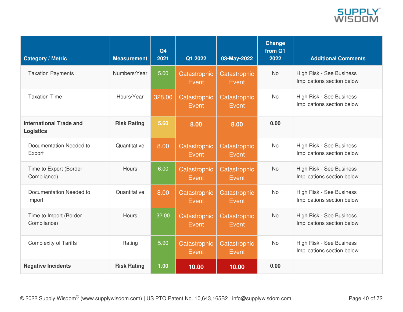

| <b>Category / Metric</b>                           | <b>Measurement</b> | Q4<br>2021 | Q1 2022                      | 03-May-2022           | <b>Change</b><br>from Q1<br>2022 | <b>Additional Comments</b>                             |
|----------------------------------------------------|--------------------|------------|------------------------------|-----------------------|----------------------------------|--------------------------------------------------------|
| <b>Taxation Payments</b>                           | Numbers/Year       | 5.00       | Catastrophic<br>Event        | Catastrophic<br>Event | <b>No</b>                        | High Risk - See Business<br>Implications section below |
| <b>Taxation Time</b>                               | Hours/Year         | 328.00     | Catastrophic<br>Event        | Catastrophic<br>Event | <b>No</b>                        | High Risk - See Business<br>Implications section below |
| <b>International Trade and</b><br><b>Logistics</b> | <b>Risk Rating</b> | 5.60       | 8.00                         | 8.00                  | 0.00                             |                                                        |
| Documentation Needed to<br>Export                  | Quantitative       | 8.00       | <b>Catastrophic</b><br>Event | Catastrophic<br>Event | <b>No</b>                        | High Risk - See Business<br>Implications section below |
| Time to Export (Border<br>Compliance)              | <b>Hours</b>       | 6.00       | Catastrophic<br>Event        | Catastrophic<br>Event | <b>No</b>                        | High Risk - See Business<br>Implications section below |
| Documentation Needed to<br>Import                  | Quantitative       | 8.00       | Catastrophic<br>Event        | Catastrophic<br>Event | <b>No</b>                        | High Risk - See Business<br>Implications section below |
| Time to Import (Border<br>Compliance)              | <b>Hours</b>       | 32.00      | Catastrophic<br>Event        | Catastrophic<br>Event | <b>No</b>                        | High Risk - See Business<br>Implications section below |
| <b>Complexity of Tariffs</b>                       | Rating             | 5.90       | Catastrophic<br>Event        | Catastrophic<br>Event | <b>No</b>                        | High Risk - See Business<br>Implications section below |
| <b>Negative Incidents</b>                          | <b>Risk Rating</b> | 1.00       | 10.00                        | 10.00                 | 0.00                             |                                                        |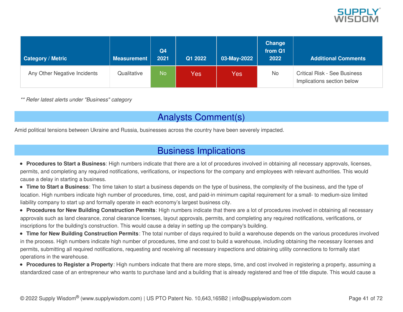

| <b>Category / Metric</b>     | <b>Measurement</b> | Q4<br>2021 | Q1 2022 | 03-May-2022 | Change<br>from Q1<br>2022 | <b>Additional Comments</b>                                        |
|------------------------------|--------------------|------------|---------|-------------|---------------------------|-------------------------------------------------------------------|
| Any Other Negative Incidents | Qualitative        | <b>No</b>  | Yes     | Yes         | No                        | <b>Critical Risk - See Business</b><br>Implications section below |

*\*\* Refer latest alerts under "Business" category*

## Analysts Comment(s)

Amid political tensions between Ukraine and Russia, businesses across the country have been severely impacted.

### Business Implications

- **Procedures to Start a Business**: High numbers indicate that there are a lot of procedures involved in obtaining all necessary approvals, licenses, permits, and completing any required notifications, verifications, or inspections for the company and employees with relevant authorities. This would cause a delay in starting a business.
- **Time to Start a Business**: The time taken to start a business depends on the type of business, the complexity of the business, and the type of location. High numbers indicate high number of procedures, time, cost, and paid-in minimum capital requirement for a small- to medium-size limited liability company to start up and formally operate in each economy's largest business city.
- **Procedures for New Building Construction Permits**: High numbers indicate that there are a lot of procedures involved in obtaining all necessary approvals such as land clearance, zonal clearance licenses, layout approvals, permits, and completing any required notifications, verifications, or inscriptions for the building's construction. This would cause a delay in setting up the company's building.
- **Time for New Building Construction Permits**: The total number of days required to build a warehouse depends on the various procedures involved in the process. High numbers indicate high number of procedures, time and cost to build a warehouse, including obtaining the necessary licenses and permits, submitting all required notifications, requesting and receiving all necessary inspections and obtaining utility connections to formally start operations in the warehouse.
- **Procedures to Register a Property**: High numbers indicate that there are more steps, time, and cost involved in registering a property, assuming a standardized case of an entrepreneur who wants to purchase land and a building that is already registered and free of title dispute. This would cause a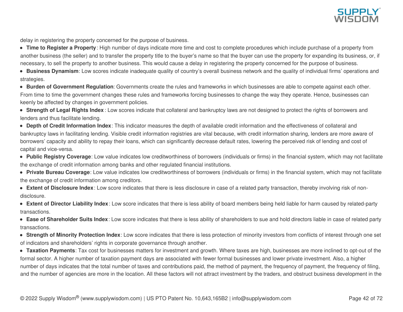

delay in registering the property concerned for the purpose of business.

**Time to Register a Property**: High number of days indicate more time and cost to complete procedures which include purchase of a property from another business (the seller) and to transfer the property title to the buyer's name so that the buyer can use the property for expanding its business, or, if necessary, to sell the property to another business. This would cause a delay in registering the property concerned for the purpose of business.

**Business Dynamism**: Low scores indicate inadequate quality of country's overall business network and the quality of individual firms' operations and strategies.

**Burden of Government Regulation**: Governments create the rules and frameworks in which businesses are able to compete against each other. From time to time the government changes these rules and frameworks forcing businesses to change the way they operate. Hence, businesses can keenly be affected by changes in government policies.

**Strength of Legal Rights Index** : Low scores indicate that collateral and bankruptcy laws are not designed to protect the rights of borrowers and lenders and thus facilitate lending.

**Depth of Credit Information Index**: This indicator measures the depth of available credit information and the effectiveness of collateral and bankruptcy laws in facilitating lending. Visible credit information registries are vital because, with credit information sharing, lenders are more aware of borrowers' capacity and ability to repay their loans, which can significantly decrease default rates, lowering the perceived risk of lending and cost of capital and vice-versa.

**Public Registry Coverage**: Low value indicates low creditworthiness of borrowers (individuals or firms) in the financial system, which may not facilitate the exchange of credit information among banks and other regulated financial institutions.

**Private Bureau Coverage**: Low value indicates low creditworthiness of borrowers (individuals or firms) in the financial system, which may not facilitate the exchange of credit information among creditors.

**Extent of Disclosure Index**: Low score indicates that there is less disclosure in case of a related party transaction, thereby involving risk of nondisclosure.

**Extent of Director Liability Index**: Low score indicates that there is less ability of board members being held liable for harm caused by related-party transactions.

**Ease of Shareholder Suits Index**: Low score indicates that there is less ability of shareholders to sue and hold directors liable in case of related party transactions.

**Strength of Minority Protection Index**: Low score indicates that there is less protection of minority investors from conflicts of interest through one set of indicators and shareholders' rights in corporate governance through another.

**Taxation Payments**: Tax cost for businesses matters for investment and growth. Where taxes are high, businesses are more inclined to opt-out of the formal sector. A higher number of taxation payment days are associated with fewer formal businesses and lower private investment. Also, a higher number of days indicates that the total number of taxes and contributions paid, the method of payment, the frequency of payment, the frequency of filing, and the number of agencies are more in the location. All these factors will not attract investment by the traders, and obstruct business development in the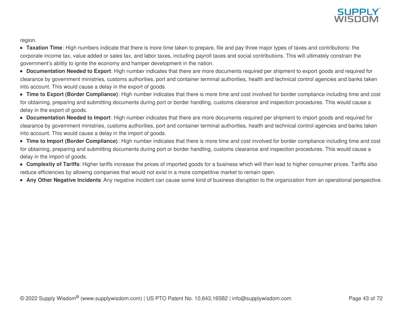

region.

**Taxation Time**: High numbers indicate that there is more time taken to prepare, file and pay three major types of taxes and contributions: the corporate income tax, value added or sales tax, and labor taxes, including payroll taxes and social contributions. This will ultimately constrain the government's ability to ignite the economy and hamper development in the nation.

**Documentation Needed to Export**: High number indicates that there are more documents required per shipment to export goods and required for clearance by government ministries, customs authorities, port and container terminal authorities, health and technical control agencies and banks taken into account. This would cause a delay in the export of goods.

**Time to Export (Border Compliance)**: High number indicates that there is more time and cost involved for border compliance including time and cost for obtaining, preparing and submitting documents during port or border handling, customs clearance and inspection procedures. This would cause a delay in the export of goods.

**Documentation Needed to Import**: High number indicates that there are more documents required per shipment to import goods and required for clearance by government ministries, customs authorities, port and container terminal authorities, health and technical control agencies and banks taken into account. This would cause a delay in the import of goods.

**Time to Import (Border Compliance)**: High number indicates that there is more time and cost involved for border compliance including time and cost for obtaining, preparing and submitting documents during port or border handling, customs clearance and inspection procedures. This would cause a delay in the import of goods.

- **Complexity of Tariffs**: Higher tariffs increase the prices of imported goods for a business which will then lead to higher consumer prices. Tariffs also reduce efficiencies by allowing companies that would not exist in a more competitive market to remain open.
- **Any Other Negative Incidents**: Any negative incident can cause some kind of business disruption to the organization from an operational perspective.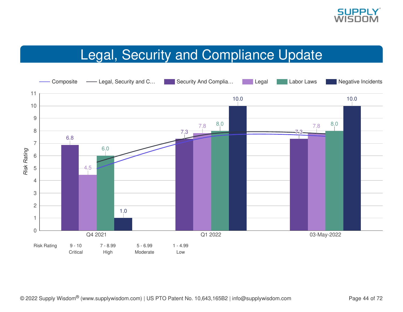

# Legal, Security and Compliance Update

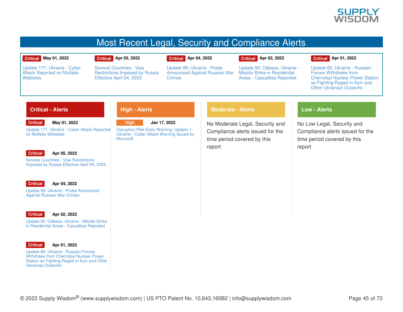

### Most Recent Legal, Security and Compliance Alerts

#### **Critical May 01, 2022**

Update 171: Ukraine - Cyber Attack [Reported](https://app.supplywisdom.com/alertProfile?alertId=66898) on Multiple

#### **Critical Apr 05, 2022**

Several Countries - Visa [Restrictions](https://app.supplywisdom.com/alertProfile?alertId=65635) Imposed by Russia Effective April 04, 2022

**Crimes** 

### **Critical Apr 04, 2022**

Update 99: Ukraine - Probe **Critical Apr 02, 2022**

[Announced](https://app.supplywisdom.com/alertProfile?alertId=65608) Against Russian War Missile Strike in [Residential](https://app.supplywisdom.com/alertProfile?alertId=65546) Update 90: Odessa, Ukraine - Areas - Casualties Reported

**Critical Apr 01, 2022** Update 85: Ukraine - Russian

Forces [Withdraws](https://app.supplywisdom.com/alertProfile?alertId=65462) from Chernobyl Nuclear Power Station as Fighting Raged in Kyiv and Other Ukrainian Outskirts

### **Critical - Alerts**

**Critical May 01, 2022**

Update 171: Ukraine - Cyber Attack [Reported](https://app.supplywisdom.com/alertProfile?alertId=66898) on Multiple Websites



**Websites** 

**Apr 05, 2022**

Several Countries - Visa [Restrictions](https://app.supplywisdom.com/alertProfile?alertId=65635) Imposed by Russia Effective April 04, 2022

#### **Critical**

**Apr 04, 2022** Update 99: Ukraine - Probe [Announced](https://app.supplywisdom.com/alertProfile?alertId=65608) Against Russian War Crimes



**Apr 02, 2022**

Update 90: Odessa, Ukraine - Missile Strike in [Residential](https://app.supplywisdom.com/alertProfile?alertId=65546) Areas - Casualties Reported



**Apr 01, 2022**

Update 85: Ukraine - Russian Forces [Withdraws](https://app.supplywisdom.com/alertProfile?alertId=65462) from Chernobyl Nuclear Power Station as Fighting Raged in Kyiv and Other Ukrainian Outskirts

### **High - Alerts**

**High Jan 17, 2022** [Disruption](https://app.supplywisdom.com/alertProfile?alertId=62200) Risk Early Warning: Update 1: Ukraine - Cyber Attack Warning Issued by **Microsoft** 

### **Moderate - Alerts**

No Moderate Legal, Security and Compliance alerts issued for the time period covered by this report

### **Low - Alerts**

No Low Legal, Security and Compliance alerts issued for the time period covered by this report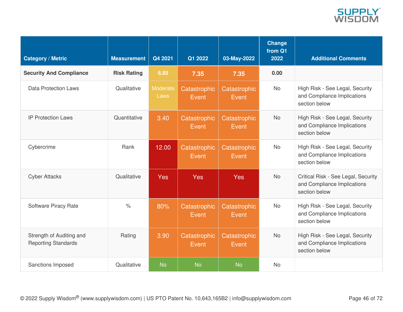

| <b>Category / Metric</b>                               | <b>Measurement</b> | Q4 2021          | Q1 2022               | 03-May-2022           | <b>Change</b><br>from Q1<br>2022 | <b>Additional Comments</b>                                                          |
|--------------------------------------------------------|--------------------|------------------|-----------------------|-----------------------|----------------------------------|-------------------------------------------------------------------------------------|
| <b>Security And Compliance</b>                         | <b>Risk Rating</b> | 6.85             | 7.35                  | 7.35                  | 0.00                             |                                                                                     |
| <b>Data Protection Laws</b>                            | Qualitative        | Moderate<br>Laws | Catastrophic<br>Event | Catastrophic<br>Event | <b>No</b>                        | High Risk - See Legal, Security<br>and Compliance Implications<br>section below     |
| <b>IP Protection Laws</b>                              | Quantitative       | 3.40             | Catastrophic<br>Event | Catastrophic<br>Event | <b>No</b>                        | High Risk - See Legal, Security<br>and Compliance Implications<br>section below     |
| Cybercrime                                             | Rank               | 12.00            | Catastrophic<br>Event | Catastrophic<br>Event | <b>No</b>                        | High Risk - See Legal, Security<br>and Compliance Implications<br>section below     |
| <b>Cyber Attacks</b>                                   | Qualitative        | <b>Yes</b>       | <b>Yes</b>            | Yes                   | <b>No</b>                        | Critical Risk - See Legal, Security<br>and Compliance Implications<br>section below |
| Software Piracy Rate                                   | $\frac{0}{0}$      | 80%              | Catastrophic<br>Event | Catastrophic<br>Event | <b>No</b>                        | High Risk - See Legal, Security<br>and Compliance Implications<br>section below     |
| Strength of Auditing and<br><b>Reporting Standards</b> | Rating             | 3.90             | Catastrophic<br>Event | Catastrophic<br>Event | <b>No</b>                        | High Risk - See Legal, Security<br>and Compliance Implications<br>section below     |
| Sanctions Imposed                                      | Qualitative        | <b>No</b>        | <b>No</b>             | <b>No</b>             | <b>No</b>                        |                                                                                     |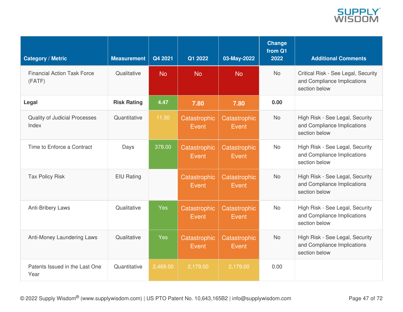

| <b>Category / Metric</b>                     | <b>Measurement</b> | Q4 2021    | Q1 2022               | 03-May-2022           | <b>Change</b><br>from Q1<br>2022 | <b>Additional Comments</b>                                                          |
|----------------------------------------------|--------------------|------------|-----------------------|-----------------------|----------------------------------|-------------------------------------------------------------------------------------|
| <b>Financial Action Task Force</b><br>(FATF) | Qualitative        | <b>No</b>  | <b>No</b>             | <b>No</b>             | <b>No</b>                        | Critical Risk - See Legal, Security<br>and Compliance Implications<br>section below |
| Legal                                        | <b>Risk Rating</b> | 4.47       | 7.80                  | 7.80                  | 0.00                             |                                                                                     |
| Quality of Judicial Processes<br>Index       | Quantitative       | 11.50      | Catastrophic<br>Event | Catastrophic<br>Event | <b>No</b>                        | High Risk - See Legal, Security<br>and Compliance Implications<br>section below     |
| Time to Enforce a Contract                   | Days               | 378.00     | Catastrophic<br>Event | Catastrophic<br>Event | <b>No</b>                        | High Risk - See Legal, Security<br>and Compliance Implications<br>section below     |
| <b>Tax Policy Risk</b>                       | <b>EIU Rating</b>  |            | Catastrophic<br>Event | Catastrophic<br>Event | <b>No</b>                        | High Risk - See Legal, Security<br>and Compliance Implications<br>section below     |
| <b>Anti-Bribery Laws</b>                     | Qualitative        | <b>Yes</b> | Catastrophic<br>Event | Catastrophic<br>Event | <b>No</b>                        | High Risk - See Legal, Security<br>and Compliance Implications<br>section below     |
| Anti-Money Laundering Laws                   | Qualitative        | <b>Yes</b> | Catastrophic<br>Event | Catastrophic<br>Event | <b>No</b>                        | High Risk - See Legal, Security<br>and Compliance Implications<br>section below     |
| Patents Issued in the Last One<br>Year       | Quantitative       | 2,469.00   | 2,179.00              | 2,179.00              | 0.00                             |                                                                                     |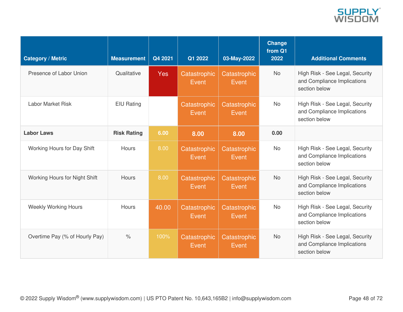

| <b>Category / Metric</b>       | <b>Measurement</b> | Q4 2021    | Q1 2022               | 03-May-2022           | Change<br>from Q1<br>2022 | <b>Additional Comments</b>                                                      |
|--------------------------------|--------------------|------------|-----------------------|-----------------------|---------------------------|---------------------------------------------------------------------------------|
| Presence of Labor Union        | Qualitative        | <b>Yes</b> | Catastrophic<br>Event | Catastrophic<br>Event | <b>No</b>                 | High Risk - See Legal, Security<br>and Compliance Implications<br>section below |
| Labor Market Risk              | EIU Rating         |            | Catastrophic<br>Event | Catastrophic<br>Event | <b>No</b>                 | High Risk - See Legal, Security<br>and Compliance Implications<br>section below |
| <b>Labor Laws</b>              | <b>Risk Rating</b> | 6.00       | 8.00                  | 8.00                  | 0.00                      |                                                                                 |
| Working Hours for Day Shift    | <b>Hours</b>       | 8.00       | Catastrophic<br>Event | Catastrophic<br>Event | <b>No</b>                 | High Risk - See Legal, Security<br>and Compliance Implications<br>section below |
| Working Hours for Night Shift  | <b>Hours</b>       | 8.00       | Catastrophic<br>Event | Catastrophic<br>Event | <b>No</b>                 | High Risk - See Legal, Security<br>and Compliance Implications<br>section below |
| <b>Weekly Working Hours</b>    | <b>Hours</b>       | 40.00      | Catastrophic<br>Event | Catastrophic<br>Event | <b>No</b>                 | High Risk - See Legal, Security<br>and Compliance Implications<br>section below |
| Overtime Pay (% of Hourly Pay) | $\%$               | 100%       | Catastrophic<br>Event | Catastrophic<br>Event | <b>No</b>                 | High Risk - See Legal, Security<br>and Compliance Implications<br>section below |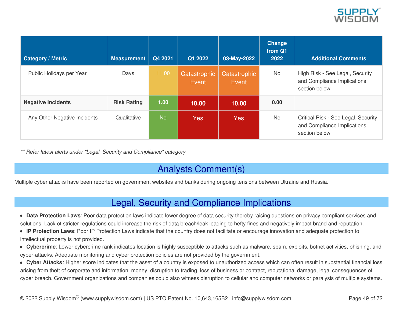

| <b>Category / Metric</b>     | <b>Measurement</b> | Q4 2021   | Q1 2022               | 03-May-2022           | <b>Change</b><br>from Q1<br>2022 | <b>Additional Comments</b>                                                          |
|------------------------------|--------------------|-----------|-----------------------|-----------------------|----------------------------------|-------------------------------------------------------------------------------------|
| Public Holidays per Year     | Days               | 11.00     | Catastrophic<br>Event | Catastrophic<br>Event | <b>No</b>                        | High Risk - See Legal, Security<br>and Compliance Implications<br>section below     |
| <b>Negative Incidents</b>    | <b>Risk Rating</b> | 1.00      | 10.00                 | 10.00                 | 0.00                             |                                                                                     |
| Any Other Negative Incidents | Qualitative        | <b>No</b> | <b>Yes</b>            | <b>Yes</b>            | <b>No</b>                        | Critical Risk - See Legal, Security<br>and Compliance Implications<br>section below |

*\*\* Refer latest alerts under "Legal, Security and Compliance" category*

## Analysts Comment(s)

Multiple cyber attacks have been reported on government websites and banks during ongoing tensions between Ukraine and Russia.

### Legal, Security and Compliance Implications

- **Data Protection Laws**: Poor data protection laws indicate lower degree of data security thereby raising questions on privacy compliant services and solutions. Lack of stricter regulations could increase the risk of data breach/leak leading to hefty fines and negatively impact brand and reputation.
- **IP Protection Laws**: Poor IP Protection Laws indicate that the country does not facilitate or encourage innovation and adequate protection to intellectual property is not provided.
- **Cybercrime**: Lower cybercrime rank indicates location is highly susceptible to attacks such as malware, spam, exploits, botnet activities, phishing, and cyber-attacks. Adequate monitoring and cyber protection policies are not provided by the government.
- **Cyber Attacks**: Higher score indicates that the asset of a country is exposed to unauthorized access which can often result in substantial financial loss arising from theft of corporate and information, money, disruption to trading, loss of business or contract, reputational damage, legal consequences of cyber breach. Government organizations and companies could also witness disruption to cellular and computer networks or paralysis of multiple systems.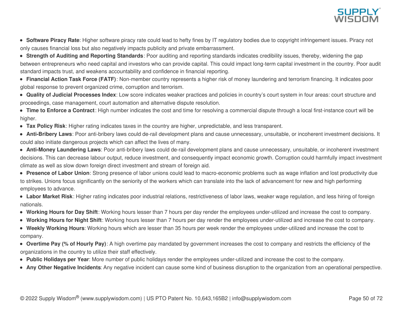

- **Software Piracy Rate**: Higher software piracy rate could lead to hefty fines by IT regulatory bodies due to copyright infringement issues. Piracy not only causes financial loss but also negatively impacts publicity and private embarrassment.
- **Strength of Auditing and Reporting Standards**: Poor auditing and reporting standards indicates credibility issues, thereby, widening the gap between entrepreneurs who need capital and investors who can provide capital. This could impact long-term capital investment in the country. Poor audit standard impacts trust, and weakens accountability and confidence in financial reporting.
- **Financial Action Task Force (FATF)**: Non-member country represents a higher risk of money laundering and terrorism financing. It indicates poor global response to prevent organized crime, corruption and terrorism.
- **Quality of Judicial Processes Index**: Low score indicates weaker practices and policies in country's court system in four areas: court structure and proceedings, case management, court automation and alternative dispute resolution.
- **Time to Enforce a Contract**: High number indicates the cost and time for resolving a commercial dispute through a local first-instance court will be higher.
- **Tax Policy Risk**: Higher rating indicates taxes in the country are higher, unpredictable, and less transparent.
- **Anti-Bribery Laws**: Poor anti-bribery laws could de-rail development plans and cause unnecessary, unsuitable, or incoherent investment decisions. It could also initiate dangerous projects which can affect the lives of many.
- **Anti-Money Laundering Laws**: Poor anti-bribery laws could de-rail development plans and cause unnecessary, unsuitable, or incoherent investment decisions. This can decrease labour output, reduce investment, and consequently impact economic growth. Corruption could harmfully impact investment climate as well as slow down foreign direct investment and stream of foreign aid.
- **Presence of Labor Union**: Strong presence of labor unions could lead to macro-economic problems such as wage inflation and lost productivity due to strikes. Unions focus significantly on the seniority of the workers which can translate into the lack of advancement for new and high performing employees to advance.
- **Labor Market Risk**: Higher rating indicates poor industrial relations, restrictiveness of labor laws, weaker wage regulation, and less hiring of foreign nationals.
- **Working Hours for Day Shift**: Working hours lesser than 7 hours per day render the employees under-utilized and increase the cost to company.
- **Working Hours for Night Shift**: Working hours lesser than 7 hours per day render the employees under-utilized and increase the cost to company.
- **Weekly Working Hours**: Working hours which are lesser than 35 hours per week render the employees under-utilized and increase the cost to company.
- **Overtime Pay (% of Hourly Pay)**: A high overtime pay mandated by government increases the cost to company and restricts the efficiency of the organizations in the country to utilize their staff effectively.
- **Public Holidays per Year**: More number of public holidays render the employees under-utilized and increase the cost to the company.
- **Any Other Negative Incidents**: Any negative incident can cause some kind of business disruption to the organization from an operational perspective.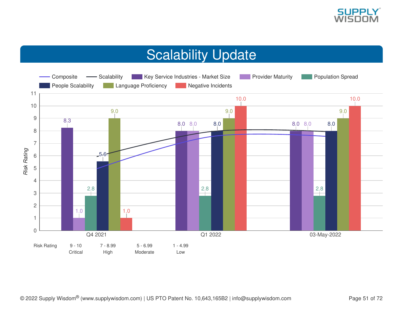

# Scalability Update

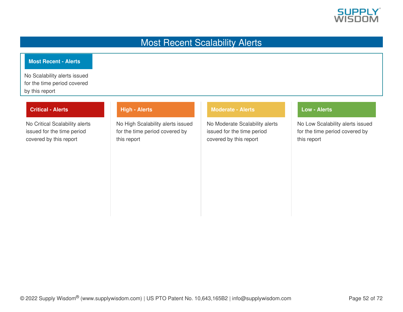

### Most Recent Scalability Alerts

### **Most Recent - Alerts**

No Scalability alerts issued for the time period covered by this report

### **Critical - Alerts**

No Critical Scalability alerts issued for the time period covered by this report

### **High - Alerts**

No High Scalability alerts issued for the time period covered by this report

### **Moderate - Alerts**

No Moderate Scalability alerts issued for the time period covered by this report

### **Low - Alerts**

No Low Scalability alerts issued for the time period covered by this report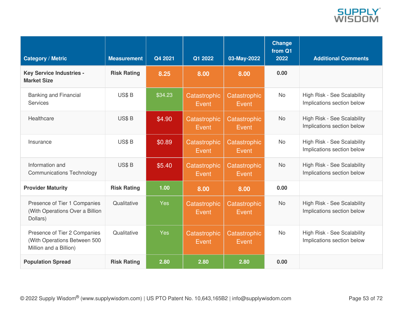

| <b>Category / Metric</b>                                                               | <b>Measurement</b> | Q4 2021    | Q1 2022               | 03-May-2022                  | <b>Change</b><br>from Q1<br>2022 | <b>Additional Comments</b>                                |
|----------------------------------------------------------------------------------------|--------------------|------------|-----------------------|------------------------------|----------------------------------|-----------------------------------------------------------|
| <b>Key Service Industries -</b><br><b>Market Size</b>                                  | <b>Risk Rating</b> | 8.25       | 8.00                  | 8.00                         | 0.00                             |                                                           |
| <b>Banking and Financial</b><br><b>Services</b>                                        | US\$B              | \$34.23    | Catastrophic<br>Event | Catastrophic<br>Event        | <b>No</b>                        | High Risk - See Scalability<br>Implications section below |
| Healthcare                                                                             | US\$B              | \$4.90     | Catastrophic<br>Event | Catastrophic<br><b>Event</b> | <b>No</b>                        | High Risk - See Scalability<br>Implications section below |
| Insurance                                                                              | US\$B              | \$0.89     | Catastrophic<br>Event | Catastrophic<br>Event        | <b>No</b>                        | High Risk - See Scalability<br>Implications section below |
| Information and<br><b>Communications Technology</b>                                    | US\$B              | \$5.40     | Catastrophic<br>Event | Catastrophic<br>Event        | <b>No</b>                        | High Risk - See Scalability<br>Implications section below |
| <b>Provider Maturity</b>                                                               | <b>Risk Rating</b> | 1.00       | 8.00                  | 8.00                         | 0.00                             |                                                           |
| Presence of Tier 1 Companies<br>(With Operations Over a Billion<br>Dollars)            | Qualitative        | <b>Yes</b> | Catastrophic<br>Event | Catastrophic<br>Event        | <b>No</b>                        | High Risk - See Scalability<br>Implications section below |
| Presence of Tier 2 Companies<br>(With Operations Between 500<br>Million and a Billion) | Qualitative        | <b>Yes</b> | Catastrophic<br>Event | Catastrophic<br>Event        | <b>No</b>                        | High Risk - See Scalability<br>Implications section below |
| <b>Population Spread</b>                                                               | <b>Risk Rating</b> | 2.80       | 2.80                  | 2.80                         | 0.00                             |                                                           |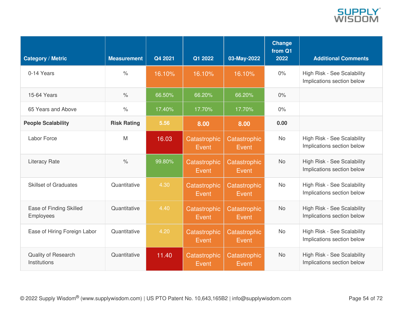

| <b>Category / Metric</b>                    | <b>Measurement</b>   | Q4 2021 | Q1 2022               | 03-May-2022           | <b>Change</b><br>from Q1<br>2022 | <b>Additional Comments</b>                                |
|---------------------------------------------|----------------------|---------|-----------------------|-----------------------|----------------------------------|-----------------------------------------------------------|
| 0-14 Years                                  | $\frac{1}{\sqrt{2}}$ | 16.10%  | 16.10%                | 16.10%                | 0%                               | High Risk - See Scalability<br>Implications section below |
| 15-64 Years                                 | $\%$                 | 66.50%  | 66.20%                | 66.20%                | 0%                               |                                                           |
| 65 Years and Above                          | $\frac{1}{2}$        | 17.40%  | 17.70%                | 17.70%                | $0\%$                            |                                                           |
| <b>People Scalability</b>                   | <b>Risk Rating</b>   | 5.56    | 8.00                  | 8.00                  | 0.00                             |                                                           |
| <b>Labor Force</b>                          | M                    | 16.03   | Catastrophic<br>Event | Catastrophic<br>Event | <b>No</b>                        | High Risk - See Scalability<br>Implications section below |
| <b>Literacy Rate</b>                        | $\frac{0}{0}$        | 99.80%  | Catastrophic<br>Event | Catastrophic<br>Event | <b>No</b>                        | High Risk - See Scalability<br>Implications section below |
| <b>Skillset of Graduates</b>                | Quantitative         | 4.30    | Catastrophic<br>Event | Catastrophic<br>Event | <b>No</b>                        | High Risk - See Scalability<br>Implications section below |
| Ease of Finding Skilled<br><b>Employees</b> | Quantitative         | 4.40    | Catastrophic<br>Event | Catastrophic<br>Event | <b>No</b>                        | High Risk - See Scalability<br>Implications section below |
| Ease of Hiring Foreign Labor                | Quantitative         | 4.20    | Catastrophic<br>Event | Catastrophic<br>Event | <b>No</b>                        | High Risk - See Scalability<br>Implications section below |
| Quality of Research<br>Institutions         | Quantitative         | 11.40   | Catastrophic<br>Event | Catastrophic<br>Event | <b>No</b>                        | High Risk - See Scalability<br>Implications section below |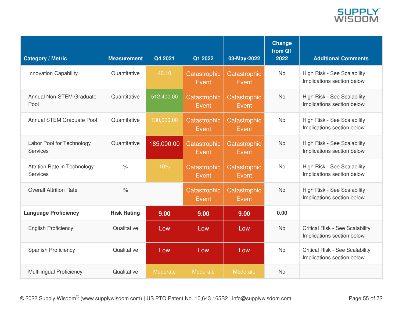

| <b>Category / Metric</b>                 | <b>Measurement</b>   | Q4 2021    | Q1 2022               | 03-May-2022           | <b>Change</b><br>from Q1<br>2022 | <b>Additional Comments</b>                                           |
|------------------------------------------|----------------------|------------|-----------------------|-----------------------|----------------------------------|----------------------------------------------------------------------|
| <b>Innovation Capability</b>             | Quantitative         | 40.10      | Catastrophic<br>Event | Catastrophic<br>Event | <b>No</b>                        | High Risk - See Scalability<br>Implications section below            |
| <b>Annual Non-STEM Graduate</b><br>Pool  | Quantitative         | 512,400.00 | Catastrophic<br>Event | Catastrophic<br>Event | <b>No</b>                        | High Risk - See Scalability<br>Implications section below            |
| <b>Annual STEM Graduate Pool</b>         | Quantitative         | 130,000.00 | Catastrophic<br>Event | Catastrophic<br>Event | <b>No</b>                        | High Risk - See Scalability<br>Implications section below            |
| Labor Pool for Technology<br>Services    | Quantitative         | 185,000.00 | Catastrophic<br>Event | Catastrophic<br>Event | <b>No</b>                        | High Risk - See Scalability<br>Implications section below            |
| Attrition Rate in Technology<br>Services | $\frac{1}{\sqrt{2}}$ | 10%        | Catastrophic<br>Event | Catastrophic<br>Event | <b>No</b>                        | High Risk - See Scalability<br>Implications section below            |
| <b>Overall Attrition Rate</b>            | $\frac{1}{\sqrt{2}}$ |            | Catastrophic<br>Event | Catastrophic<br>Event | <b>No</b>                        | High Risk - See Scalability<br>Implications section below            |
| <b>Language Proficiency</b>              | <b>Risk Rating</b>   | 9.00       | 9.00                  | 9.00                  | 0.00                             |                                                                      |
| <b>English Proficiency</b>               | Qualitative          | Low        | Low                   | Low                   | <b>No</b>                        | <b>Critical Risk - See Scalability</b><br>Implications section below |
| <b>Spanish Proficiency</b>               | Qualitative          | Low        | Low                   | Low                   | <b>No</b>                        | <b>Critical Risk - See Scalability</b><br>Implications section below |
| <b>Multilingual Proficiency</b>          | Qualitative          | Moderate   | Moderate              | Moderate              | <b>No</b>                        |                                                                      |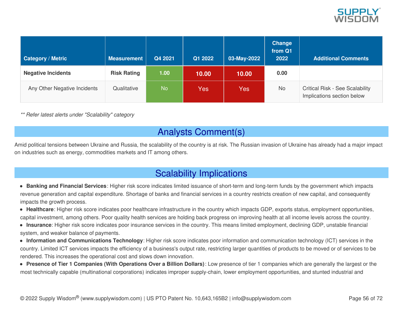

| <b>Category / Metric</b>     | <b>Measurement</b> | Q4 2021 | Q1 2022 | 03-May-2022 | <b>Change</b><br>from Q1<br>2022 | <b>Additional Comments</b>                                           |
|------------------------------|--------------------|---------|---------|-------------|----------------------------------|----------------------------------------------------------------------|
| <b>Negative Incidents</b>    | <b>Risk Rating</b> | 1.00    | 10.00   | 10.00       | 0.00                             |                                                                      |
| Any Other Negative Incidents | Qualitative        | No      | Yes     | Yes         | No                               | <b>Critical Risk - See Scalability</b><br>Implications section below |

*\*\* Refer latest alerts under "Scalability" category*

### Analysts Comment(s)

Amid political tensions between Ukraine and Russia, the scalability of the country is at risk. The Russian invasion of Ukraine has already had a major impact on industries such as energy, commodities markets and IT among others.

### Scalability Implications

- **Banking and Financial Services**: Higher risk score indicates limited issuance of short-term and long-term funds by the government which impacts revenue generation and capital expenditure. Shortage of banks and financial services in a country restricts creation of new capital, and consequently impacts the growth process.
- **Healthcare**: Higher risk score indicates poor healthcare infrastructure in the country which impacts GDP, exports status, employment opportunities, capital investment, among others. Poor quality health services are holding back progress on improving health at all income levels across the country.
- **Insurance**: Higher risk score indicates poor insurance services in the country. This means limited employment, declining GDP, unstable financial system, and weaker balance of payments.
- **Information and Communications Technology**: Higher risk score indicates poor information and communication technology (ICT) services in the country. Limited ICT services impacts the efficiency of a business's output rate, restricting larger quantities of products to be moved or of services to be rendered. This increases the operational cost and slows down innovation.
- **Presence of Tier 1 Companies (With Operations Over a Billion Dollars)**: Low presence of tier 1 companies which are generally the largest or the most technically capable (multinational corporations) indicates improper supply-chain, lower employment opportunities, and stunted industrial and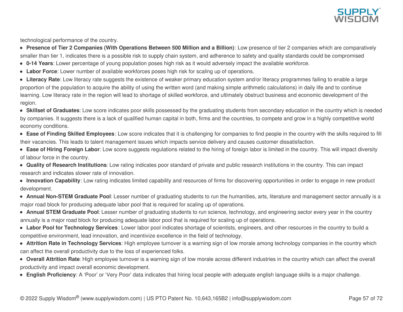

technological performance of the country.

• Presence of Tier 2 Companies (With Operations Between 500 Million and a Billion): Low presence of tier 2 companies which are comparatively smaller than tier 1, indicates there is a possible risk to supply chain system, and adherence to safety and quality standards could be compromised

- **0-14 Years**: Lower percentage of young population poses high risk as it would adversely impact the available workforce.
- **Labor Force**: Lower number of available workforces poses high risk for scaling up of operations.
- **Literacy Rate**: Low literacy rate suggests the existence of weaker primary education system and/or literacy programmes failing to enable a large proportion of the population to acquire the ability of using the written word (and making simple arithmetic calculations) in daily life and to continue learning. Low literacy rate in the region will lead to shortage of skilled workforce, and ultimately obstruct business and economic development of the region.
- **Skillset of Graduates**: Low score indicates poor skills possessed by the graduating students from secondary education in the country which is needed by companies. It suggests there is a lack of qualified human capital in both, firms and the countries, to compete and grow in a highly competitive world economy conditions.
- **Ease of Finding Skilled Employees**: Low score indicates that it is challenging for companies to find people in the country with the skills required to fill their vacancies. This leads to talent management issues which impacts service delivery and causes customer dissatisfaction.
- **Ease of Hiring Foreign Labor**: Low score suggests regulations related to the hiring of foreign labor is limited in the country. This will impact diversity of labour force in the country.
- **Quality of Research Institutions**: Low rating indicates poor standard of private and public research institutions in the country. This can impact research and indicates slower rate of innovation.
- **Innovation Capability**: Low rating indicates limited capability and resources of firms for discovering opportunities in order to engage in new product development.
- **Annual Non-STEM Graduate Pool**: Lesser number of graduating students to run the humanities, arts, literature and management sector annually is a major road block for producing adequate labor pool that is required for scaling up of operations.
- **Annual STEM Graduate Pool**: Lesser number of graduating students to run science, technology, and engineering sector every year in the country annually is a major road block for producing adequate labor pool that is required for scaling up of operations.
- **Labor Pool for Technology Services**: Lower labor pool indicates shortage of scientists, engineers, and other resources in the country to build a competitive environment, lead innovation, and incentivize excellence in the field of technology.
- **Attrition Rate in Technology Services**: High employee turnover is a warning sign of low morale among technology companies in the country which can affect the overall productivity due to the loss of experienced folks.
- **Overall Attrition Rate**: High employee turnover is a warning sign of low morale across different industries in the country which can affect the overall productivity and impact overall economic development.
- **English Proficiency**: A 'Poor' or 'Very Poor' data indicates that hiring local people with adequate english language skills is a major challenge.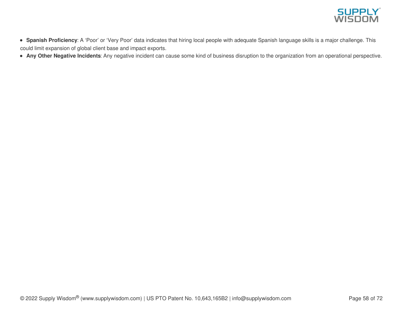

- **Spanish Proficiency**: A 'Poor' or 'Very Poor' data indicates that hiring local people with adequate Spanish language skills is a major challenge. This could limit expansion of global client base and impact exports.
- **Any Other Negative Incidents**: Any negative incident can cause some kind of business disruption to the organization from an operational perspective.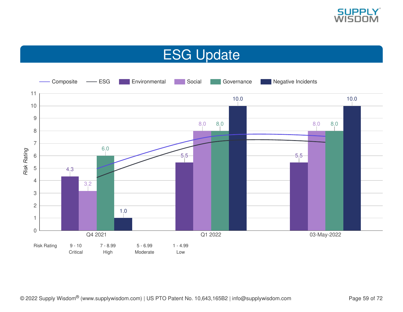

# ESG Update

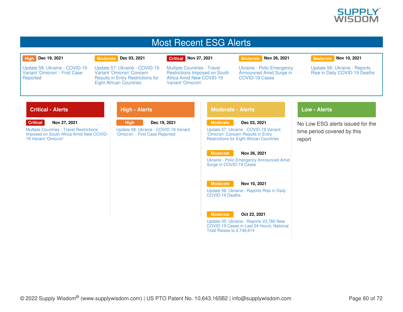

### Most Recent ESG Alerts

#### **High Dec 19, 2021**

**Reported** 

**Moderate Dec 03, 2021**

Eight African Countries

Update 57: Ukraine - COVID-19 Variant 'Omicron' Concern Results in Entry [Restrictions](https://app.supplywisdom.com/alertProfile?alertId=60731) for

#### **Critical Nov 27, 2021**

Multiple Countries - Travel [Restrictions](https://app.supplywisdom.com/alertProfile?alertId=60539) Imposed on South Africa Amid New COVID-19 Variant 'Omicron'

**Moderate Nov 26, 2021**

Ukraine - Polio [Emergency](https://app.supplywisdom.com/alertProfile?alertId=60527) Announced Amid Surge in

COVID-19 Cases

#### **Moderate Nov 10, 2021**

Update 56: Ukraine - Reports Rise in Daily [COVID-19](https://app.supplywisdom.com/alertProfile?alertId=59869) Deaths

### **Critical - Alerts**

**Critical Nov 27, 2021**

Update 58: Ukraine - [COVID-19](https://app.supplywisdom.com/alertProfile?alertId=61339) Variant 'Omicron' - First Case

Multiple Countries - Travel [Restrictions](https://app.supplywisdom.com/alertProfile?alertId=60539) Imposed on South Africa Amid New COVID-19 Variant 'Omicron'

### **High - Alerts**

**High Dec 19, 2021** Update 58: Ukraine - [COVID-19](https://app.supplywisdom.com/alertProfile?alertId=61339) Variant 'Omicron' - First Case Reported

#### **Moderate - Alerts**

**Moderate Dec 03, 2021**

Update 57: Ukraine - COVID-19 Variant 'Omicron' Concern Results in Entry [Restrictions](https://app.supplywisdom.com/alertProfile?alertId=60731) for Eight African Countries

#### **Moderate Nov 26, 2021**

Ukraine - Polio Emergency [Announced](https://app.supplywisdom.com/alertProfile?alertId=60527) Amid Surge in COVID-19 Cases

#### **Moderate Nov 10, 2021**

Update 56: Ukraine - Reports Rise in Daily [COVID-19](https://app.supplywisdom.com/alertProfile?alertId=59869) Deaths

#### **Moderate Oct 23, 2021**

Update 55: Ukraine - Reports 23,785 New [COVID-19](https://app.supplywisdom.com/alertProfile?alertId=59140) Cases in Last 24 Hours, National Total Raises to 2,748,614

### **Low - Alerts**

No Low ESG alerts issued for the time period covered by this report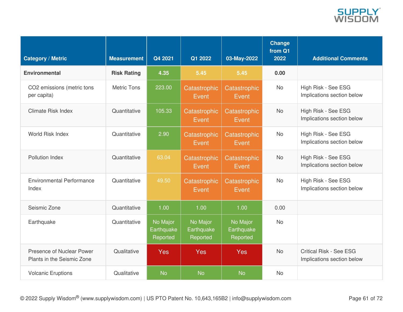

| <b>Category / Metric</b>                                | <b>Measurement</b> | Q4 2021                            | Q1 2022                            | 03-May-2022                        | <b>Change</b><br>from Q1<br>2022 | <b>Additional Comments</b>                                   |
|---------------------------------------------------------|--------------------|------------------------------------|------------------------------------|------------------------------------|----------------------------------|--------------------------------------------------------------|
| <b>Environmental</b>                                    | <b>Risk Rating</b> | 4.35                               | 5.45                               | 5.45                               | 0.00                             |                                                              |
| CO2 emissions (metric tons<br>per capita)               | <b>Metric Tons</b> | 223.00                             | Catastrophic<br>Event              | Catastrophic<br>Event              | <b>No</b>                        | High Risk - See ESG<br>Implications section below            |
| <b>Climate Risk Index</b>                               | Quantitative       | 105.33                             | Catastrophic<br>Event              | Catastrophic<br>Event              | <b>No</b>                        | High Risk - See ESG<br>Implications section below            |
| World Risk Index                                        | Quantitative       | 2.90                               | Catastrophic<br>Event              | Catastrophic<br>Event              | <b>No</b>                        | High Risk - See ESG<br>Implications section below            |
| Pollution Index                                         | Quantitative       | 63.04                              | Catastrophic<br>Event              | Catastrophic<br>Event              | <b>No</b>                        | High Risk - See ESG<br>Implications section below            |
| <b>Environmental Performance</b><br>Index               | Quantitative       | 49.50                              | Catastrophic<br>Event              | Catastrophic<br>Event              | <b>No</b>                        | High Risk - See ESG<br>Implications section below            |
| Seismic Zone                                            | Quantitative       | 1.00                               | 1.00                               | 1.00                               | 0.00                             |                                                              |
| Earthquake                                              | Quantitative       | No Major<br>Earthquake<br>Reported | No Major<br>Earthquake<br>Reported | No Major<br>Earthquake<br>Reported | <b>No</b>                        |                                                              |
| Presence of Nuclear Power<br>Plants in the Seismic Zone | Qualitative        | <b>Yes</b>                         | <b>Yes</b>                         | <b>Yes</b>                         | <b>No</b>                        | <b>Critical Risk - See ESG</b><br>Implications section below |
| <b>Volcanic Eruptions</b>                               | Qualitative        | <b>No</b>                          | <b>No</b>                          | <b>No</b>                          | <b>No</b>                        |                                                              |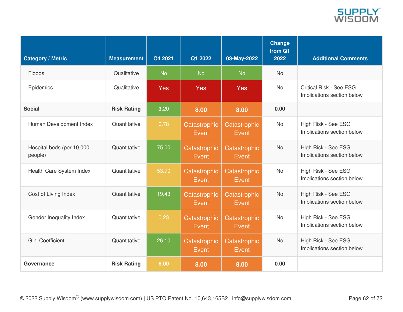

| <b>Category / Metric</b>             | <b>Measurement</b> | Q4 2021    | Q1 2022               | 03-May-2022           | Change<br>from Q1<br>2022 | <b>Additional Comments</b>                                   |
|--------------------------------------|--------------------|------------|-----------------------|-----------------------|---------------------------|--------------------------------------------------------------|
| Floods                               | Qualitative        | <b>No</b>  | <b>No</b>             | <b>No</b>             | <b>No</b>                 |                                                              |
| Epidemics                            | Qualitative        | <b>Yes</b> | <b>Yes</b>            | <b>Yes</b>            | <b>No</b>                 | <b>Critical Risk - See ESG</b><br>Implications section below |
| <b>Social</b>                        | <b>Risk Rating</b> | 3.20       | 8.00                  | 8.00                  | 0.00                      |                                                              |
| Human Development Index              | Quantitative       | 0.78       | Catastrophic<br>Event | Catastrophic<br>Event | <b>No</b>                 | High Risk - See ESG<br>Implications section below            |
| Hospital beds (per 10,000<br>people) | Quantitative       | 75.00      | Catastrophic<br>Event | Catastrophic<br>Event | <b>No</b>                 | High Risk - See ESG<br>Implications section below            |
| Health Care System Index             | Quantitative       | 53.70      | Catastrophic<br>Event | Catastrophic<br>Event | <b>No</b>                 | High Risk - See ESG<br>Implications section below            |
| Cost of Living Index                 | Quantitative       | 19.43      | Catastrophic<br>Event | Catastrophic<br>Event | <b>No</b>                 | High Risk - See ESG<br>Implications section below            |
| Gender Inequality Index              | Quantitative       | 0.23       | Catastrophic<br>Event | Catastrophic<br>Event | <b>No</b>                 | High Risk - See ESG<br>Implications section below            |
| <b>Gini Coefficient</b>              | Quantitative       | 26.10      | Catastrophic<br>Event | Catastrophic<br>Event | <b>No</b>                 | High Risk - See ESG<br>Implications section below            |
| Governance                           | <b>Risk Rating</b> | 6.00       | 8.00                  | 8.00                  | 0.00                      |                                                              |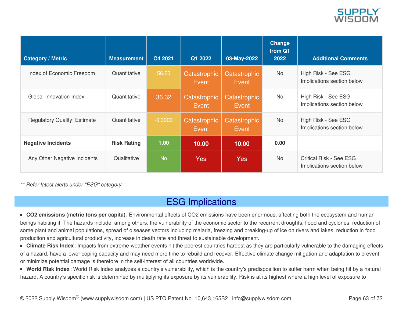

| <b>Category / Metric</b>            | <b>Measurement</b> | Q4 2021   | Q1 2022               | 03-May-2022           | <b>Change</b><br>from Q1<br>2022 | <b>Additional Comments</b>                                   |
|-------------------------------------|--------------------|-----------|-----------------------|-----------------------|----------------------------------|--------------------------------------------------------------|
| Index of Economic Freedom           | Quantitative       | 56.20     | Catastrophic<br>Event | Catastrophic<br>Event | <b>No</b>                        | High Risk - See ESG<br>Implications section below            |
| Global Innovation Index             | Quantitative       | 36.32     | Catastrophic<br>Event | Catastrophic<br>Event | No                               | High Risk - See ESG<br>Implications section below            |
| <b>Regulatory Quality: Estimate</b> | Quantitative       | $-0.3000$ | Catastrophic<br>Event | Catastrophic<br>Event | <b>No</b>                        | High Risk - See ESG<br>Implications section below            |
| <b>Negative Incidents</b>           | <b>Risk Rating</b> | 1.00      | 10.00                 | 10.00                 | 0.00                             |                                                              |
| Any Other Negative Incidents        | Qualitative        | <b>No</b> | <b>Yes</b>            | Yes                   | <b>No</b>                        | <b>Critical Risk - See ESG</b><br>Implications section below |

*\*\* Refer latest alerts under "ESG" category*

### ESG Implications

**CO2 emissions (metric tons per capita)**: Environmental effects of CO2 emissions have been enormous, affecting both the ecosystem and human beings habiting it. The hazards include, among others, the vulnerability of the economic sector to the recurrent droughts, flood and cyclones, reduction of some plant and animal populations, spread of diseases vectors including malaria, freezing and breaking-up of ice on rivers and lakes, reduction in food production and agricultural productivity, increase in death rate and threat to sustainable development.

**Climate Risk Index**: Impacts from extreme-weather events hit the poorest countries hardest as they are particularly vulnerable to the damaging effects of a hazard, have a lower coping capacity and may need more time to rebuild and recover. Effective climate change mitigation and adaptation to prevent or minimize potential damage is therefore in the self-interest of all countries worldwide.

**World Risk Index**: World Risk Index analyzes a country's vulnerability, which is the country's predisposition to suffer harm when being hit by a natural hazard. A country's specific risk is determined by multiplying its exposure by its vulnerability. Risk is at its highest where a high level of exposure to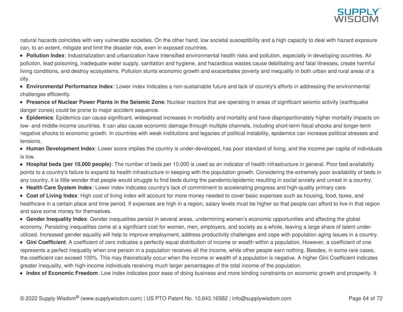

natural hazards coincides with very vulnerable societies. On the other hand, low societal susceptibility and a high capacity to deal with hazard exposure can, to an extent, mitigate and limit the disaster risk, even in exposed countries.

**Pollution Index**: Industrialization and urbanization have intensified environmental health risks and pollution, especially in developing countries. Air pollution, lead poisoning, inadequate water supply, sanitation and hygiene, and hazardous wastes cause debilitating and fatal illnesses, create harmful living conditions, and destroy ecosystems. Pollution stunts economic growth and exacerbates poverty and inequality in both urban and rural areas of a city.

**Environmental Performance Index**: Lower index indicates a non-sustainable future and lack of country's efforts in addressing the environmental challenges efficiently.

**Presence of Nuclear Power Plants in the Seismic Zone**: Nuclear reactors that are operating in areas of significant seismic activity (earthquake danger zones) could be prone to major accident sequence.

**Epidemics**: Epidemics can cause significant, widespread increases in morbidity and mortality and have disproportionately higher mortality impacts on low- and middle-income countries. It can also cause economic damage through multiple channels, including short-term fiscal shocks and longer-term negative shocks to economic growth. In countries with weak institutions and legacies of political instability, epidemics can increase political stresses and tensions.

**Human Development Index**: Lower score implies the country is under-developed, has poor standard of living, and the income per capita of individuals is low.

**Hospital beds (per 10,000 people)**: The number of beds per 10,000 is used as an indicator of health infrastructure in general. Poor bed availability points to a country's failure to expand its health infrastructure in keeping with the population growth. Considering the extremely poor availability of beds in any country, it is little wonder that people would struggle to find beds during the pandemic/epidemic resulting in social anxiety and unrest in a country.

**Health Care System Index**: Lower index indicates country's lack of commitment to accelerating progress and high-quality primary care.

**Cost of Living Index**: High cost of living index will account for more money needed to cover basic expenses such as housing, food, taxes, and healthcare in a certain place and time period. If expenses are high in a region, salary levels must be higher so that people can afford to live in that region and save some money for themselves.

**Gender Inequality Index**: Gender inequalities persist in several areas, undermining women's economic opportunities and affecting the global economy. Persisting inequalities come at a significant cost for women, men, employers, and society as a whole, leaving a large share of talent underutilized. Increased gender equality will help to improve employment, address productivity challenges and cope with population aging issues in a country.

**Gini Coefficient**: A coefficient of zero indicates a perfectly equal distribution of income or wealth within a population. However, a coefficient of one represents a perfect inequality when one person in a population receives all the income, while other people earn nothing. Besides, in some rare cases, the coefficient can exceed 100%. This may theoretically occur when the income or wealth of a population is negative. A higher Gini Coefficient indicates greater inequality, with high-income individuals receiving much larger percentages of the total income of the population.

**Index of Economic Freedom**: Low index indicates poor ease of doing business and more binding constraints on economic growth and prosperity. It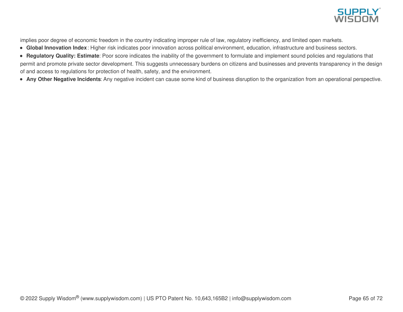

implies poor degree of economic freedom in the country indicating improper rule of law, regulatory inefficiency, and limited open markets.

- **Global Innovation Index**: Higher risk indicates poor innovation across political environment, education, infrastructure and business sectors.
- **Regulatory Quality: Estimate**: Poor score indicates the inability of the government to formulate and implement sound policies and regulations that permit and promote private sector development. This suggests unnecessary burdens on citizens and businesses and prevents transparency in the design of and access to regulations for protection of health, safety, and the environment.
- **Any Other Negative Incidents**: Any negative incident can cause some kind of business disruption to the organization from an operational perspective.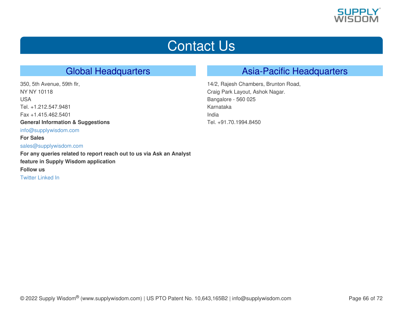

# Contact Us

## Global Headquarters

350, 5th Avenue, 59th flr, NY NY 10118 USA Tel. +1.212.547.9481 Fax +1.415.462.5401 **General Information & Suggestions** [info@supplywisdom.com](mailto:info@supplywisdom.com) **For Sales** [sales@supplywisdom.com](mailto:sales@supplywisdom.com) **For any queries related to report reach out to us via Ask an Analyst feature in Supply Wisdom application Follow us** [Twitter](https://twitter.com/supply_wisdom) [Linked](https://www.linkedin.com/company/supplywisdom) In

### Asia-Pacific Headquarters

14/2, Rajesh Chambers, Brunton Road, Craig Park Layout, Ashok Nagar. Bangalore - 560 025 Karnataka India Tel. +91.70.1994.8450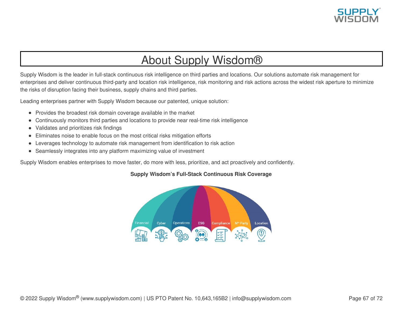

## About Supply Wisdom®

Supply Wisdom is the leader in full-stack continuous risk intelligence on third parties and locations. Our solutions automate risk management for enterprises and deliver continuous third-party and location risk intelligence, risk monitoring and risk actions across the widest risk aperture to minimize the risks of disruption facing their business, supply chains and third parties.

Leading enterprises partner with Supply Wisdom because our patented, unique solution:

- Provides the broadest risk domain coverage available in the market
- Continuously monitors third parties and locations to provide near real-time risk intelligence  $\bullet$
- Validates and prioritizes risk findings  $\bullet$
- Eliminates noise to enable focus on the most critical risks mitigation efforts  $\bullet$
- Leverages technology to automate risk management from identification to risk action
- Seamlessly integrates into any platform maximizing value of investment

Supply Wisdom enables enterprises to move faster, do more with less, prioritize, and act proactively and confidently.

### **Supply Wisdom's Full-Stack Continuous Risk Coverage**

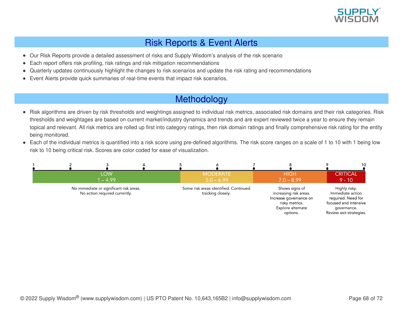

## Risk Reports & Event Alerts

- Our Risk Reports provide a detailed assessment of risks and Supply Wisdom's analysis of the risk scenario  $\bullet$
- Each report offers risk profiling, risk ratings and risk mitigation recommendations
- Quarterly updates continuously highlight the changes to risk scenarios and update the risk rating and recommendations
- Event Alerts provide quick summaries of real-time events that impact risk scenarios,  $\bullet$

## Methodology

- Risk algorithms are driven by risk thresholds and weightings assigned to individual risk metrics, associated risk domains and their risk categories. Risk  $\bullet$ thresholds and weightages are based on current market/industry dynamics and trends and are expert reviewed twice a year to ensure they remain topical and relevant. All risk metrics are rolled up first into category ratings, then risk domain ratings and finally comprehensive risk rating for the entity being monitored.
- Each of the individual metrics is quantified into a risk score using pre-defined algorithms. The risk score ranges on a scale of 1 to 10 with 1 being low risk to 10 being critical risk. Scores are color coded for ease of visualization.

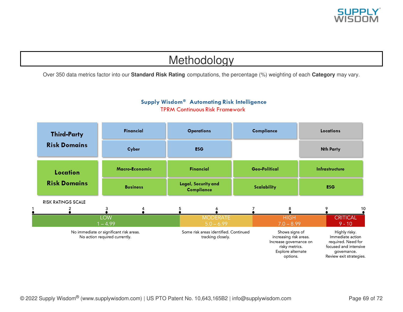

## Methodology

Over 350 data metrics factor into our **Standard Risk Rating** computations, the percentage (%) weighting of each **Category** may vary.

### Supply Wisdom® Automating Risk Intelligence **TPRM Continuous Risk Framework**

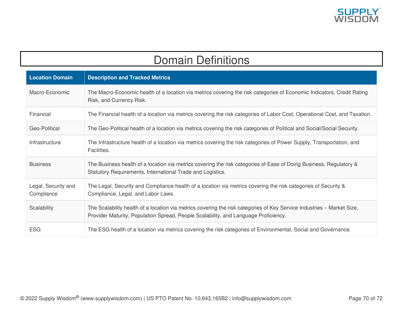

## Domain Definitions

| <b>Location Domain</b>            | <b>Description and Tracked Metrics</b>                                                                                                                                                                        |
|-----------------------------------|---------------------------------------------------------------------------------------------------------------------------------------------------------------------------------------------------------------|
| Macro-Economic                    | The Macro-Economic health of a location via metrics covering the risk categories of Economic Indicators, Credit Rating<br>Risk, and Currency Risk.                                                            |
| Financial                         | The Financial health of a location via metrics covering the risk categories of Labor Cost, Operational Cost, and Taxation.                                                                                    |
| Geo-Political                     | The Geo-Political health of a location via metrics covering the risk categories of Political and Social/Social Security.                                                                                      |
| Infrastructure                    | The Infrastructure health of a location via metrics covering the risk categories of Power Supply, Transportation, and<br>Facilities.                                                                          |
| <b>Business</b>                   | The Business health of a location via metrics covering the risk categories of Ease of Doing Business, Regulatory &<br>Statutory Requirements, International Trade and Logistics.                              |
| Legal, Security and<br>Compliance | The Legal, Security and Compliance health of a location via metrics covering the risk categories of Security &<br>Compliance, Legal, and Labor Laws.                                                          |
| Scalability                       | The Scalability health of a location via metrics covering the risk categories of Key Service Industries – Market Size,<br>Provider Maturity, Population Spread, People Scalability, and Language Proficiency. |
| <b>ESG</b>                        | The ESG health of a location via metrics covering the risk categories of Environmental, Social and Governance.                                                                                                |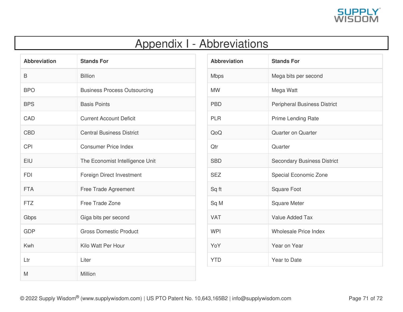

## Appendix I - Abbreviations

| <b>Abbreviation</b> | <b>Stands For</b>                   |
|---------------------|-------------------------------------|
| B                   | <b>Billion</b>                      |
| <b>BPO</b>          | <b>Business Process Outsourcing</b> |
| <b>BPS</b>          | <b>Basis Points</b>                 |
| CAD                 | <b>Current Account Deficit</b>      |
| <b>CBD</b>          | <b>Central Business District</b>    |
| <b>CPI</b>          | <b>Consumer Price Index</b>         |
| EIU                 | The Economist Intelligence Unit     |
| <b>FDI</b>          | Foreign Direct Investment           |
| <b>FTA</b>          | Free Trade Agreement                |
| <b>FTZ</b>          | Free Trade Zone                     |
| Gbps                | Giga bits per second                |
| <b>GDP</b>          | <b>Gross Domestic Product</b>       |
| Kwh                 | Kilo Watt Per Hour                  |
| Ltr                 | Liter                               |
| M                   | Million                             |

| <b>Abbreviation</b> | <b>Stands For</b>                   |
|---------------------|-------------------------------------|
| <b>Mbps</b>         | Mega bits per second                |
| <b>MW</b>           | Mega Watt                           |
| <b>PBD</b>          | <b>Peripheral Business District</b> |
| <b>PLR</b>          | Prime Lending Rate                  |
| QoQ                 | <b>Quarter on Quarter</b>           |
| Qtr                 | Quarter                             |
| <b>SBD</b>          | <b>Secondary Business District</b>  |
| <b>SEZ</b>          | Special Economic Zone               |
| Sq ft               | <b>Square Foot</b>                  |
| Sq M                | <b>Square Meter</b>                 |
| <b>VAT</b>          | Value Added Tax                     |
| <b>WPI</b>          | <b>Wholesale Price Index</b>        |
| YoY                 | Year on Year                        |
| <b>YTD</b>          | Year to Date                        |